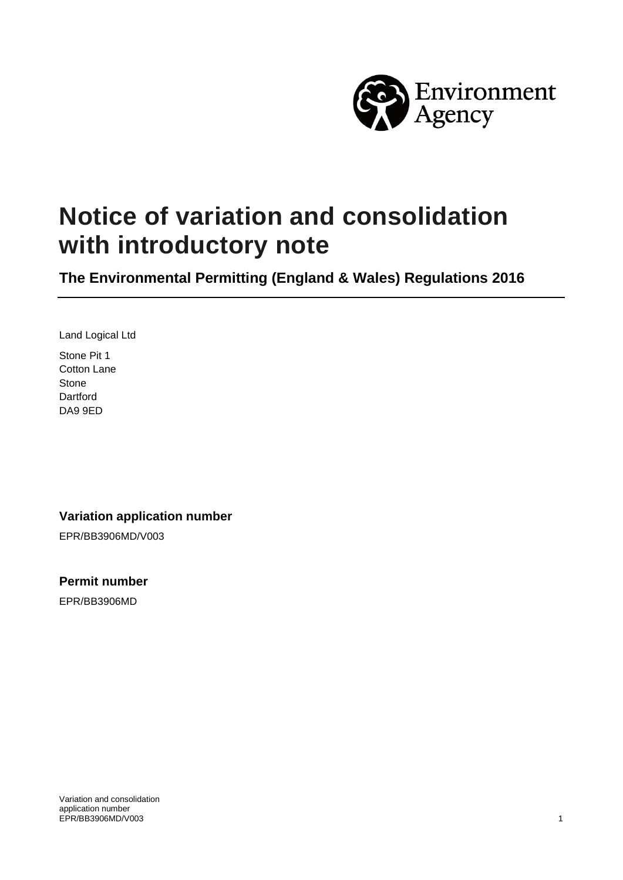

# **Notice of variation and consolidation with introductory note**

**The Environmental Permitting (England & Wales) Regulations 2016**

Land Logical Ltd Stone Pit 1 Cotton Lane Stone Dartford DA9 9ED

#### **Variation application number**

EPR/BB3906MD/V003

**Permit number**

EPR/BB3906MD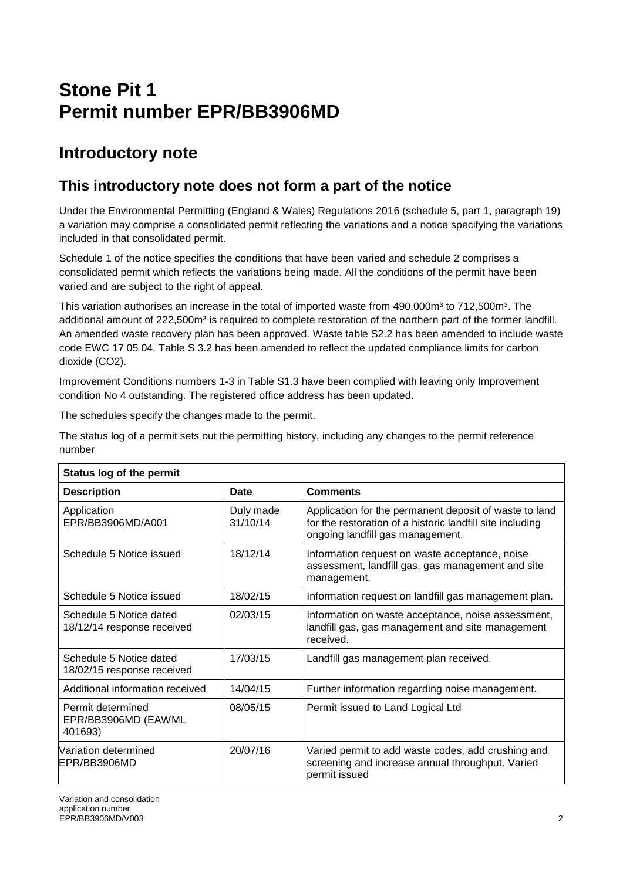## **Stone Pit 1 Permit number EPR/BB3906MD**

### **Introductory note**

### **This introductory note does not form a part of the notice**

Under the Environmental Permitting (England & Wales) Regulations 2016 (schedule 5, part 1, paragraph 19) a variation may comprise a consolidated permit reflecting the variations and a notice specifying the variations included in that consolidated permit.

Schedule 1 of the notice specifies the conditions that have been varied and schedule 2 comprises a consolidated permit which reflects the variations being made. All the conditions of the permit have been varied and are subject to the right of appeal.

This variation authorises an increase in the total of imported waste from 490,000m<sup>3</sup> to 712,500m<sup>3</sup>. The additional amount of 222,500m<sup>3</sup> is required to complete restoration of the northern part of the former landfill. An amended waste recovery plan has been approved. Waste table S2.2 has been amended to include waste code EWC 17 05 04. Table S 3.2 has been amended to reflect the updated compliance limits for carbon dioxide (CO2).

Improvement Conditions numbers 1-3 in Table S1.3 have been complied with leaving only Improvement condition No 4 outstanding. The registered office address has been updated.

The schedules specify the changes made to the permit.

The status log of a permit sets out the permitting history, including any changes to the permit reference number

| <b>Status log of the permit</b>                       |                       |                                                                                                                                                         |  |  |
|-------------------------------------------------------|-----------------------|---------------------------------------------------------------------------------------------------------------------------------------------------------|--|--|
| <b>Description</b>                                    | Date                  | <b>Comments</b>                                                                                                                                         |  |  |
| Application<br>EPR/BB3906MD/A001                      | Duly made<br>31/10/14 | Application for the permanent deposit of waste to land<br>for the restoration of a historic landfill site including<br>ongoing landfill gas management. |  |  |
| Schedule 5 Notice issued                              | 18/12/14              | Information request on waste acceptance, noise<br>assessment, landfill gas, gas management and site<br>management.                                      |  |  |
| Schedule 5 Notice issued                              | 18/02/15              | Information request on landfill gas management plan.                                                                                                    |  |  |
| Schedule 5 Notice dated<br>18/12/14 response received | 02/03/15              | Information on waste acceptance, noise assessment,<br>landfill gas, gas management and site management<br>received.                                     |  |  |
| Schedule 5 Notice dated<br>18/02/15 response received | 17/03/15              | Landfill gas management plan received.                                                                                                                  |  |  |
| Additional information received                       | 14/04/15              | Further information regarding noise management.                                                                                                         |  |  |
| Permit determined<br>EPR/BB3906MD (EAWML<br>401693)   | 08/05/15              | Permit issued to Land Logical Ltd                                                                                                                       |  |  |
| Nariation determined<br>IEPR/BB3906MD                 | 20/07/16              | Varied permit to add waste codes, add crushing and<br>screening and increase annual throughput. Varied<br>permit issued                                 |  |  |

Variation and consolidation application number EPR/BB3906MD/V003 2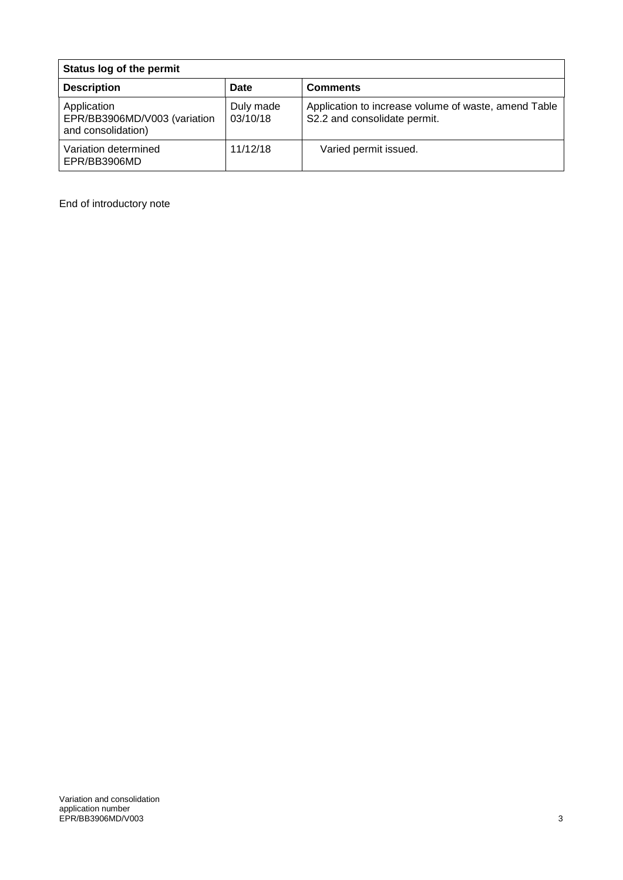| Status log of the permit                                          |                       |                                                                                      |  |  |
|-------------------------------------------------------------------|-----------------------|--------------------------------------------------------------------------------------|--|--|
| <b>Description</b>                                                | Date                  | <b>Comments</b>                                                                      |  |  |
| Application<br>EPR/BB3906MD/V003 (variation<br>and consolidation) | Duly made<br>03/10/18 | Application to increase volume of waste, amend Table<br>S2.2 and consolidate permit. |  |  |
| Variation determined<br>EPR/BB3906MD                              | 11/12/18              | Varied permit issued.                                                                |  |  |

End of introductory note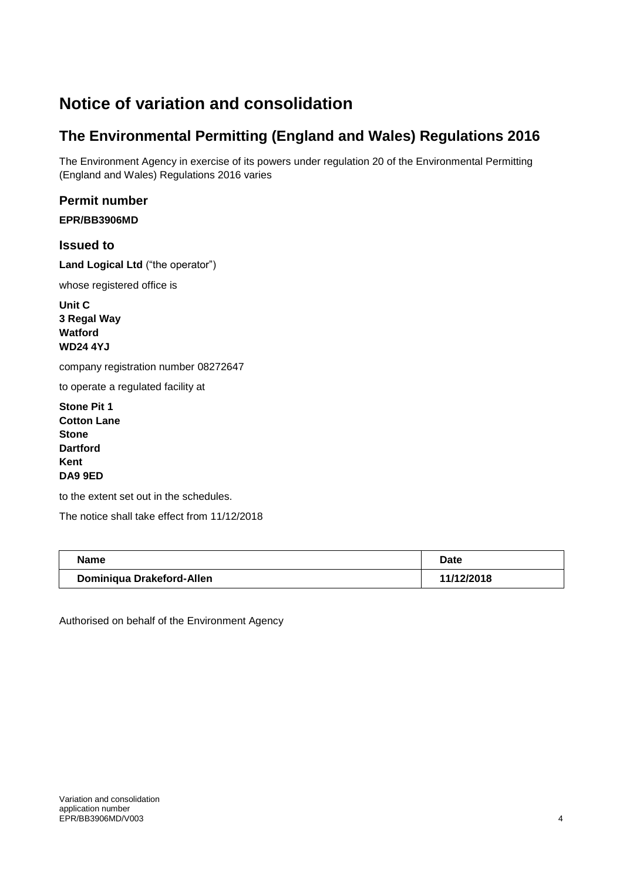## **Notice of variation and consolidation**

### **The Environmental Permitting (England and Wales) Regulations 2016**

The Environment Agency in exercise of its powers under regulation 20 of the Environmental Permitting (England and Wales) Regulations 2016 varies

#### **Permit number**

**EPR/BB3906MD** 

**Issued to**

**Land Logical Ltd** ("the operator")

whose registered office is

**Unit C 3 Regal Way Watford WD24 4YJ**

company registration number 08272647

to operate a regulated facility at

**Stone Pit 1 Cotton Lane Stone Dartford Kent DA9 9ED**

to the extent set out in the schedules.

The notice shall take effect from 11/12/2018

| <b>Name</b>               | Date       |
|---------------------------|------------|
| Dominiqua Drakeford-Allen | 11/12/2018 |

Authorised on behalf of the Environment Agency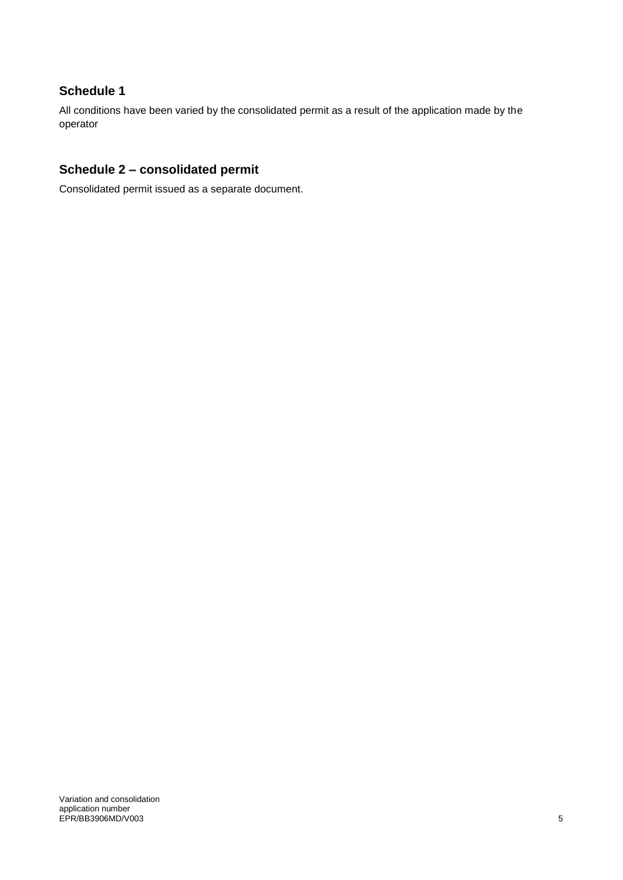#### **Schedule 1**

All conditions have been varied by the consolidated permit as a result of the application made by the operator

#### **Schedule 2 – consolidated permit**

Consolidated permit issued as a separate document.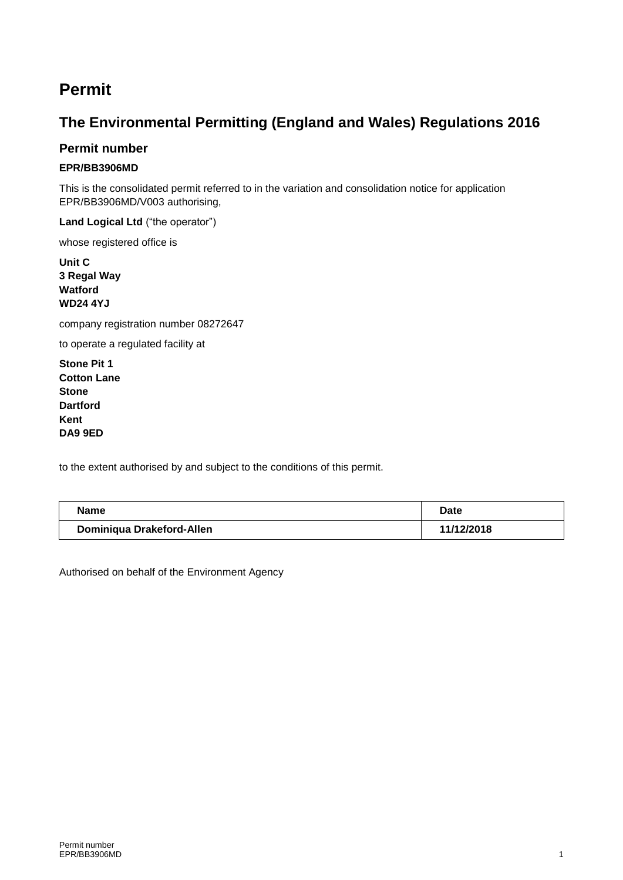### **Permit**

### **The Environmental Permitting (England and Wales) Regulations 2016**

#### **Permit number**

#### **EPR/BB3906MD**

This is the consolidated permit referred to in the variation and consolidation notice for application EPR/BB3906MD/V003 authorising,

**Land Logical Ltd** ("the operator")

whose registered office is

**Unit C 3 Regal Way Watford WD24 4YJ**

company registration number 08272647

to operate a regulated facility at

**Stone Pit 1 Cotton Lane Stone Dartford Kent DA9 9ED**

to the extent authorised by and subject to the conditions of this permit.

| <b>Name</b>               | Date       |  |
|---------------------------|------------|--|
| Dominiqua Drakeford-Allen | 11/12/2018 |  |

Authorised on behalf of the Environment Agency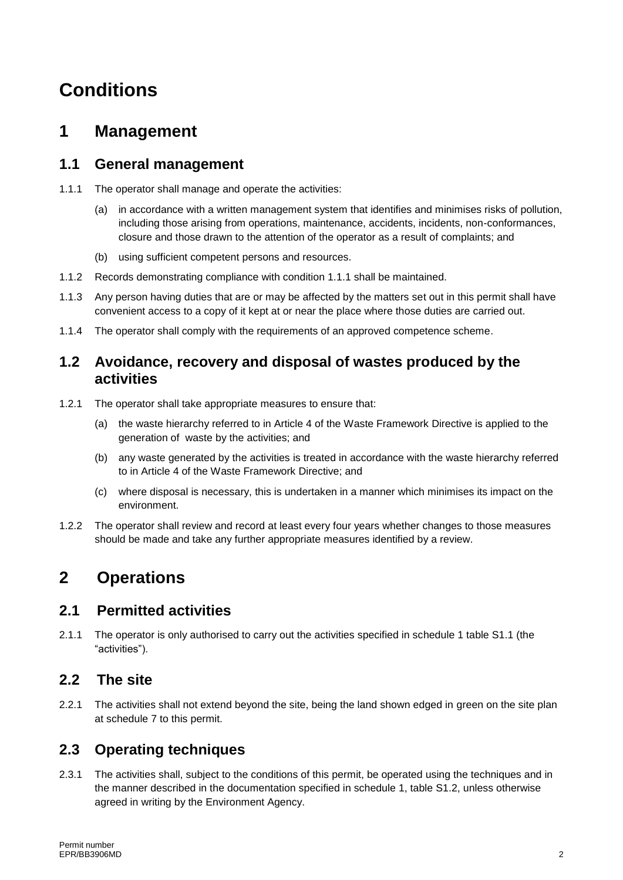## **Conditions**

### **1 Management**

#### **1.1 General management**

- 1.1.1 The operator shall manage and operate the activities:
	- (a) in accordance with a written management system that identifies and minimises risks of pollution, including those arising from operations, maintenance, accidents, incidents, non-conformances, closure and those drawn to the attention of the operator as a result of complaints; and
	- (b) using sufficient competent persons and resources.
- 1.1.2 Records demonstrating compliance with condition 1.1.1 shall be maintained.
- 1.1.3 Any person having duties that are or may be affected by the matters set out in this permit shall have convenient access to a copy of it kept at or near the place where those duties are carried out.
- 1.1.4 The operator shall comply with the requirements of an approved competence scheme.

#### **1.2 Avoidance, recovery and disposal of wastes produced by the activities**

- 1.2.1 The operator shall take appropriate measures to ensure that:
	- (a) the waste hierarchy referred to in Article 4 of the Waste Framework Directive is applied to the generation of waste by the activities; and
	- (b) any waste generated by the activities is treated in accordance with the waste hierarchy referred to in Article 4 of the Waste Framework Directive; and
	- (c) where disposal is necessary, this is undertaken in a manner which minimises its impact on the environment.
- 1.2.2 The operator shall review and record at least every four years whether changes to those measures should be made and take any further appropriate measures identified by a review.

### **2 Operations**

#### **2.1 Permitted activities**

2.1.1 The operator is only authorised to carry out the activities specified in schedule 1 table S1.1 (the "activities").

#### **2.2 The site**

2.2.1 The activities shall not extend beyond the site, being the land shown edged in green on the site plan at schedule 7 to this permit.

#### **2.3 Operating techniques**

2.3.1 The activities shall, subject to the conditions of this permit, be operated using the techniques and in the manner described in the documentation specified in schedule 1, table S1.2, unless otherwise agreed in writing by the Environment Agency.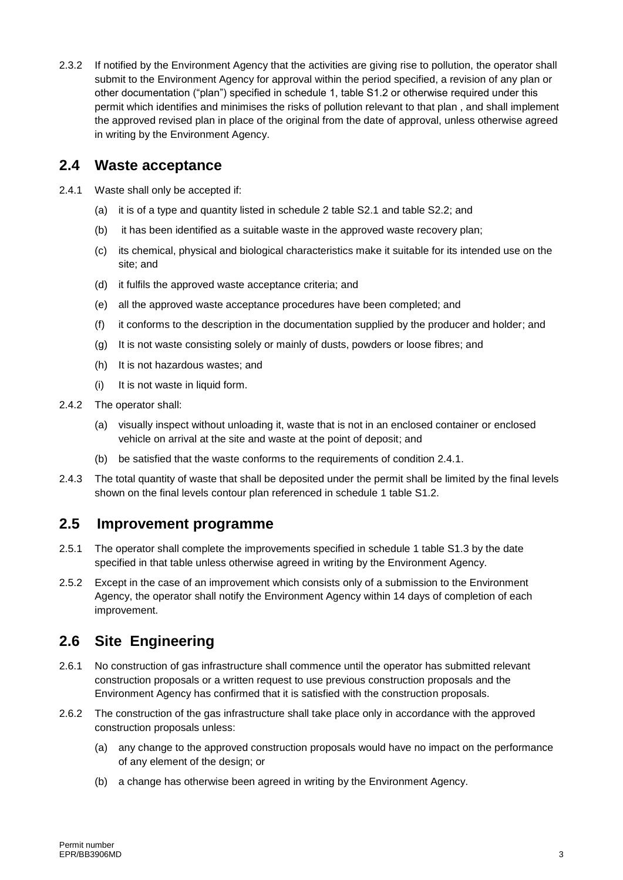2.3.2 If notified by the Environment Agency that the activities are giving rise to pollution, the operator shall submit to the Environment Agency for approval within the period specified, a revision of any plan or other documentation ("plan") specified in schedule 1, table S1.2 or otherwise required under this permit which identifies and minimises the risks of pollution relevant to that plan , and shall implement the approved revised plan in place of the original from the date of approval, unless otherwise agreed in writing by the Environment Agency.

#### **2.4 Waste acceptance**

- 2.4.1 Waste shall only be accepted if:
	- (a) it is of a type and quantity listed in schedule 2 table S2.1 and table S2.2; and
	- (b) it has been identified as a suitable waste in the approved waste recovery plan;
	- (c) its chemical, physical and biological characteristics make it suitable for its intended use on the site; and
	- (d) it fulfils the approved waste acceptance criteria; and
	- (e) all the approved waste acceptance procedures have been completed; and
	- (f) it conforms to the description in the documentation supplied by the producer and holder; and
	- (g) It is not waste consisting solely or mainly of dusts, powders or loose fibres; and
	- (h) It is not hazardous wastes; and
	- (i) It is not waste in liquid form.
- 2.4.2 The operator shall:
	- (a) visually inspect without unloading it, waste that is not in an enclosed container or enclosed vehicle on arrival at the site and waste at the point of deposit; and
	- (b) be satisfied that the waste conforms to the requirements of condition 2.4.1.
- 2.4.3 The total quantity of waste that shall be deposited under the permit shall be limited by the final levels shown on the final levels contour plan referenced in schedule 1 table S1.2.

#### **2.5 Improvement programme**

- 2.5.1 The operator shall complete the improvements specified in schedule 1 table S1.3 by the date specified in that table unless otherwise agreed in writing by the Environment Agency.
- 2.5.2 Except in the case of an improvement which consists only of a submission to the Environment Agency, the operator shall notify the Environment Agency within 14 days of completion of each improvement.

#### **2.6 Site Engineering**

- 2.6.1 No construction of gas infrastructure shall commence until the operator has submitted relevant construction proposals or a written request to use previous construction proposals and the Environment Agency has confirmed that it is satisfied with the construction proposals.
- 2.6.2 The construction of the gas infrastructure shall take place only in accordance with the approved construction proposals unless:
	- (a) any change to the approved construction proposals would have no impact on the performance of any element of the design; or
	- (b) a change has otherwise been agreed in writing by the Environment Agency.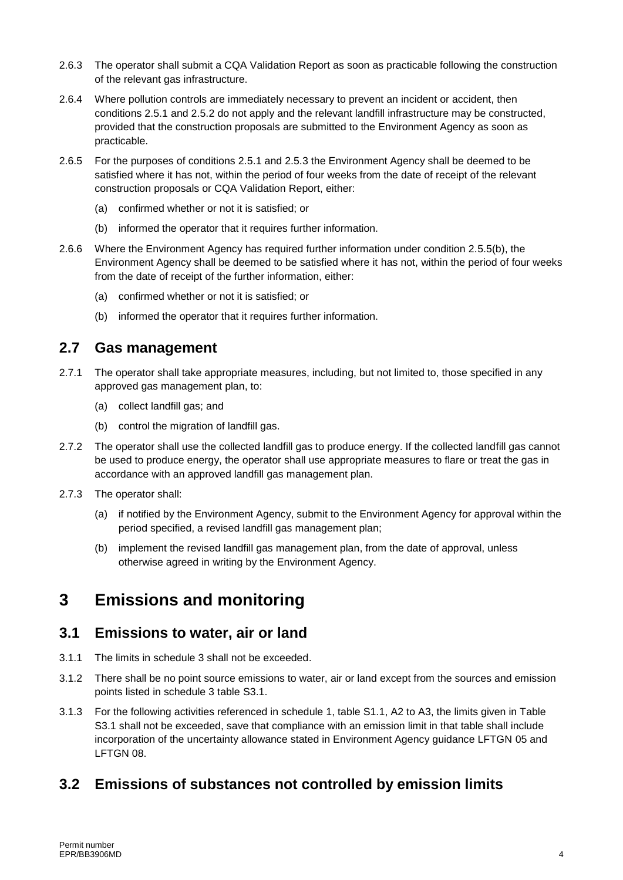- 2.6.3 The operator shall submit a CQA Validation Report as soon as practicable following the construction of the relevant gas infrastructure.
- 2.6.4 Where pollution controls are immediately necessary to prevent an incident or accident, then conditions 2.5.1 and 2.5.2 do not apply and the relevant landfill infrastructure may be constructed, provided that the construction proposals are submitted to the Environment Agency as soon as practicable.
- 2.6.5 For the purposes of conditions 2.5.1 and 2.5.3 the Environment Agency shall be deemed to be satisfied where it has not, within the period of four weeks from the date of receipt of the relevant construction proposals or CQA Validation Report, either:
	- (a) confirmed whether or not it is satisfied; or
	- (b) informed the operator that it requires further information.
- 2.6.6 Where the Environment Agency has required further information under condition 2.5.5(b), the Environment Agency shall be deemed to be satisfied where it has not, within the period of four weeks from the date of receipt of the further information, either:
	- (a) confirmed whether or not it is satisfied; or
	- (b) informed the operator that it requires further information.

#### **2.7 Gas management**

- 2.7.1 The operator shall take appropriate measures, including, but not limited to, those specified in any approved gas management plan, to:
	- (a) collect landfill gas; and
	- (b) control the migration of landfill gas.
- 2.7.2 The operator shall use the collected landfill gas to produce energy. If the collected landfill gas cannot be used to produce energy, the operator shall use appropriate measures to flare or treat the gas in accordance with an approved landfill gas management plan.
- 2.7.3 The operator shall:
	- (a) if notified by the Environment Agency, submit to the Environment Agency for approval within the period specified, a revised landfill gas management plan;
	- (b) implement the revised landfill gas management plan, from the date of approval, unless otherwise agreed in writing by the Environment Agency.

### **3 Emissions and monitoring**

#### **3.1 Emissions to water, air or land**

- 3.1.1 The limits in schedule 3 shall not be exceeded.
- 3.1.2 There shall be no point source emissions to water, air or land except from the sources and emission points listed in schedule 3 table S3.1.
- 3.1.3 For the following activities referenced in schedule 1, table S1.1, A2 to A3, the limits given in Table S3.1 shall not be exceeded, save that compliance with an emission limit in that table shall include incorporation of the uncertainty allowance stated in Environment Agency guidance LFTGN 05 and LFTGN 08.

#### **3.2 Emissions of substances not controlled by emission limits**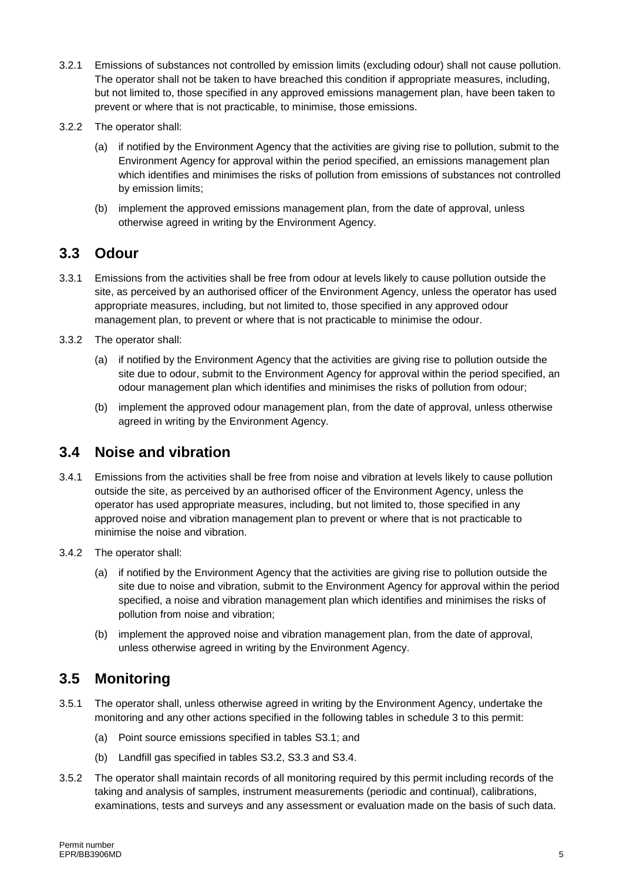- 3.2.1 Emissions of substances not controlled by emission limits (excluding odour) shall not cause pollution. The operator shall not be taken to have breached this condition if appropriate measures, including, but not limited to, those specified in any approved emissions management plan, have been taken to prevent or where that is not practicable, to minimise, those emissions.
- 3.2.2 The operator shall:
	- (a) if notified by the Environment Agency that the activities are giving rise to pollution, submit to the Environment Agency for approval within the period specified, an emissions management plan which identifies and minimises the risks of pollution from emissions of substances not controlled by emission limits;
	- (b) implement the approved emissions management plan, from the date of approval, unless otherwise agreed in writing by the Environment Agency.

#### **3.3 Odour**

- 3.3.1 Emissions from the activities shall be free from odour at levels likely to cause pollution outside the site, as perceived by an authorised officer of the Environment Agency, unless the operator has used appropriate measures, including, but not limited to, those specified in any approved odour management plan, to prevent or where that is not practicable to minimise the odour.
- 3.3.2 The operator shall:
	- (a) if notified by the Environment Agency that the activities are giving rise to pollution outside the site due to odour, submit to the Environment Agency for approval within the period specified, an odour management plan which identifies and minimises the risks of pollution from odour;
	- (b) implement the approved odour management plan, from the date of approval, unless otherwise agreed in writing by the Environment Agency.

#### **3.4 Noise and vibration**

- 3.4.1 Emissions from the activities shall be free from noise and vibration at levels likely to cause pollution outside the site, as perceived by an authorised officer of the Environment Agency, unless the operator has used appropriate measures, including, but not limited to, those specified in any approved noise and vibration management plan to prevent or where that is not practicable to minimise the noise and vibration.
- 3.4.2 The operator shall:
	- (a) if notified by the Environment Agency that the activities are giving rise to pollution outside the site due to noise and vibration, submit to the Environment Agency for approval within the period specified, a noise and vibration management plan which identifies and minimises the risks of pollution from noise and vibration;
	- (b) implement the approved noise and vibration management plan, from the date of approval, unless otherwise agreed in writing by the Environment Agency.

#### **3.5 Monitoring**

- 3.5.1 The operator shall, unless otherwise agreed in writing by the Environment Agency, undertake the monitoring and any other actions specified in the following tables in schedule 3 to this permit:
	- (a) Point source emissions specified in tables S3.1; and
	- (b) Landfill gas specified in tables S3.2, S3.3 and S3.4.
- 3.5.2 The operator shall maintain records of all monitoring required by this permit including records of the taking and analysis of samples, instrument measurements (periodic and continual), calibrations, examinations, tests and surveys and any assessment or evaluation made on the basis of such data.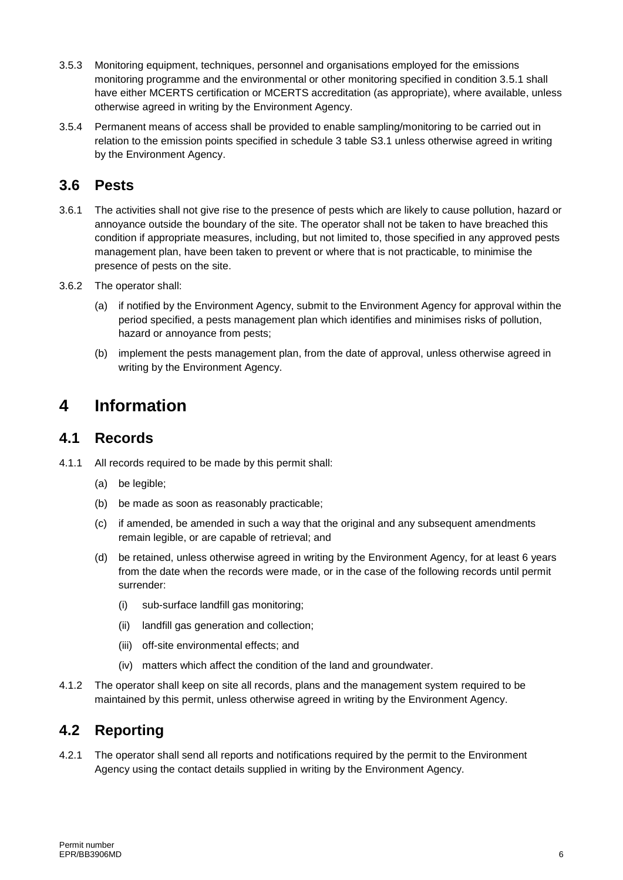- 3.5.3 Monitoring equipment, techniques, personnel and organisations employed for the emissions monitoring programme and the environmental or other monitoring specified in condition 3.5.1 shall have either MCERTS certification or MCERTS accreditation (as appropriate), where available, unless otherwise agreed in writing by the Environment Agency.
- 3.5.4 Permanent means of access shall be provided to enable sampling/monitoring to be carried out in relation to the emission points specified in schedule 3 table S3.1 unless otherwise agreed in writing by the Environment Agency.

#### **3.6 Pests**

- 3.6.1 The activities shall not give rise to the presence of pests which are likely to cause pollution, hazard or annoyance outside the boundary of the site. The operator shall not be taken to have breached this condition if appropriate measures, including, but not limited to, those specified in any approved pests management plan, have been taken to prevent or where that is not practicable, to minimise the presence of pests on the site.
- 3.6.2 The operator shall:
	- (a) if notified by the Environment Agency, submit to the Environment Agency for approval within the period specified, a pests management plan which identifies and minimises risks of pollution, hazard or annoyance from pests;
	- (b) implement the pests management plan, from the date of approval, unless otherwise agreed in writing by the Environment Agency.

### **4 Information**

#### **4.1 Records**

- 4.1.1 All records required to be made by this permit shall:
	- (a) be legible;
	- (b) be made as soon as reasonably practicable;
	- (c) if amended, be amended in such a way that the original and any subsequent amendments remain legible, or are capable of retrieval; and
	- (d) be retained, unless otherwise agreed in writing by the Environment Agency, for at least 6 years from the date when the records were made, or in the case of the following records until permit surrender:
		- (i) sub-surface landfill gas monitoring;
		- (ii) landfill gas generation and collection;
		- (iii) off-site environmental effects; and
		- (iv) matters which affect the condition of the land and groundwater.
- 4.1.2 The operator shall keep on site all records, plans and the management system required to be maintained by this permit, unless otherwise agreed in writing by the Environment Agency.

#### **4.2 Reporting**

4.2.1 The operator shall send all reports and notifications required by the permit to the Environment Agency using the contact details supplied in writing by the Environment Agency.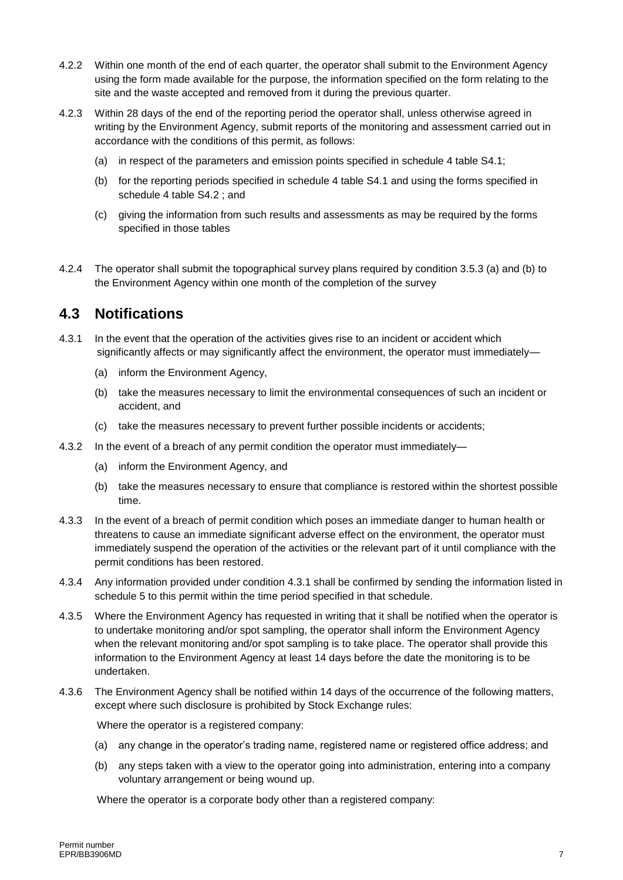- 4.2.2 Within one month of the end of each quarter, the operator shall submit to the Environment Agency using the form made available for the purpose, the information specified on the form relating to the site and the waste accepted and removed from it during the previous quarter.
- 4.2.3 Within 28 days of the end of the reporting period the operator shall, unless otherwise agreed in writing by the Environment Agency, submit reports of the monitoring and assessment carried out in accordance with the conditions of this permit, as follows:
	- (a) in respect of the parameters and emission points specified in schedule 4 table S4.1;
	- (b) for the reporting periods specified in schedule 4 table S4.1 and using the forms specified in schedule 4 table S4.2 ; and
	- (c) giving the information from such results and assessments as may be required by the forms specified in those tables
- 4.2.4 The operator shall submit the topographical survey plans required by condition 3.5.3 (a) and (b) to the Environment Agency within one month of the completion of the survey

#### **4.3 Notifications**

- 4.3.1 In the event that the operation of the activities gives rise to an incident or accident which significantly affects or may significantly affect the environment, the operator must immediately—
	- (a) inform the Environment Agency,
	- (b) take the measures necessary to limit the environmental consequences of such an incident or accident, and
	- (c) take the measures necessary to prevent further possible incidents or accidents;
- 4.3.2 In the event of a breach of any permit condition the operator must immediately—
	- (a) inform the Environment Agency, and
	- (b) take the measures necessary to ensure that compliance is restored within the shortest possible time.
- 4.3.3 In the event of a breach of permit condition which poses an immediate danger to human health or threatens to cause an immediate significant adverse effect on the environment, the operator must immediately suspend the operation of the activities or the relevant part of it until compliance with the permit conditions has been restored.
- 4.3.4 Any information provided under condition 4.3.1 shall be confirmed by sending the information listed in schedule 5 to this permit within the time period specified in that schedule.
- 4.3.5 Where the Environment Agency has requested in writing that it shall be notified when the operator is to undertake monitoring and/or spot sampling, the operator shall inform the Environment Agency when the relevant monitoring and/or spot sampling is to take place. The operator shall provide this information to the Environment Agency at least 14 days before the date the monitoring is to be undertaken.
- 4.3.6 The Environment Agency shall be notified within 14 days of the occurrence of the following matters, except where such disclosure is prohibited by Stock Exchange rules:

Where the operator is a registered company:

- (a) any change in the operator's trading name, registered name or registered office address; and
- (b) any steps taken with a view to the operator going into administration, entering into a company voluntary arrangement or being wound up.

Where the operator is a corporate body other than a registered company: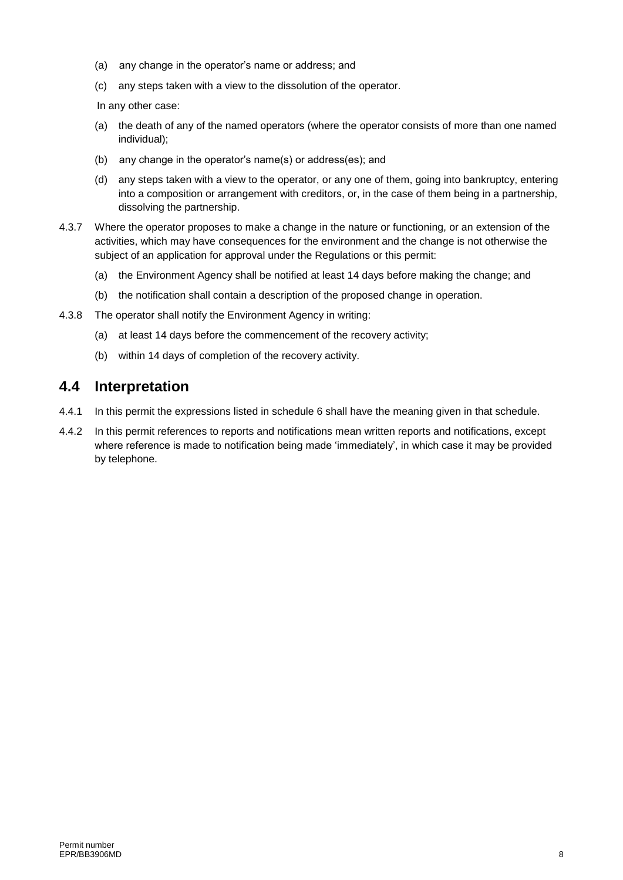- (a) any change in the operator's name or address; and
- (c) any steps taken with a view to the dissolution of the operator.

In any other case:

- (a) the death of any of the named operators (where the operator consists of more than one named individual);
- (b) any change in the operator's name(s) or address(es); and
- (d) any steps taken with a view to the operator, or any one of them, going into bankruptcy, entering into a composition or arrangement with creditors, or, in the case of them being in a partnership, dissolving the partnership.
- 4.3.7 Where the operator proposes to make a change in the nature or functioning, or an extension of the activities, which may have consequences for the environment and the change is not otherwise the subject of an application for approval under the Regulations or this permit:
	- (a) the Environment Agency shall be notified at least 14 days before making the change; and
	- (b) the notification shall contain a description of the proposed change in operation.
- 4.3.8 The operator shall notify the Environment Agency in writing:
	- (a) at least 14 days before the commencement of the recovery activity;
	- (b) within 14 days of completion of the recovery activity.

#### **4.4 Interpretation**

- 4.4.1 In this permit the expressions listed in schedule 6 shall have the meaning given in that schedule.
- 4.4.2 In this permit references to reports and notifications mean written reports and notifications, except where reference is made to notification being made 'immediately', in which case it may be provided by telephone.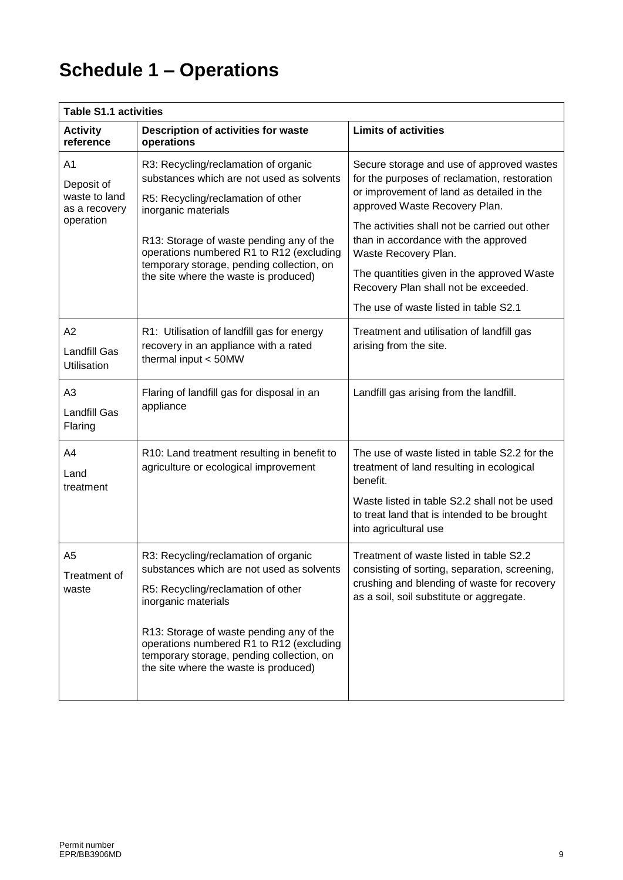## **Schedule 1 – Operations**

| <b>Table S1.1 activities</b>                                    |                                                                                                                                                                                                                                                                                                                              |                                                                                                                                                                                                                                                                                                                                                                                |  |  |  |
|-----------------------------------------------------------------|------------------------------------------------------------------------------------------------------------------------------------------------------------------------------------------------------------------------------------------------------------------------------------------------------------------------------|--------------------------------------------------------------------------------------------------------------------------------------------------------------------------------------------------------------------------------------------------------------------------------------------------------------------------------------------------------------------------------|--|--|--|
| <b>Activity</b><br>reference                                    | Description of activities for waste<br>operations                                                                                                                                                                                                                                                                            | <b>Limits of activities</b>                                                                                                                                                                                                                                                                                                                                                    |  |  |  |
| A1<br>Deposit of<br>waste to land<br>as a recovery<br>operation | R3: Recycling/reclamation of organic<br>substances which are not used as solvents<br>R5: Recycling/reclamation of other<br>inorganic materials<br>R13: Storage of waste pending any of the<br>operations numbered R1 to R12 (excluding<br>temporary storage, pending collection, on<br>the site where the waste is produced) | Secure storage and use of approved wastes<br>for the purposes of reclamation, restoration<br>or improvement of land as detailed in the<br>approved Waste Recovery Plan.<br>The activities shall not be carried out other<br>than in accordance with the approved<br>Waste Recovery Plan.<br>The quantities given in the approved Waste<br>Recovery Plan shall not be exceeded. |  |  |  |
|                                                                 |                                                                                                                                                                                                                                                                                                                              | The use of waste listed in table S2.1                                                                                                                                                                                                                                                                                                                                          |  |  |  |
| A2<br>Landfill Gas<br><b>Utilisation</b>                        | R1: Utilisation of landfill gas for energy<br>recovery in an appliance with a rated<br>thermal input < 50MW                                                                                                                                                                                                                  | Treatment and utilisation of landfill gas<br>arising from the site.                                                                                                                                                                                                                                                                                                            |  |  |  |
| A <sub>3</sub><br><b>Landfill Gas</b><br>Flaring                | Flaring of landfill gas for disposal in an<br>appliance                                                                                                                                                                                                                                                                      | Landfill gas arising from the landfill.                                                                                                                                                                                                                                                                                                                                        |  |  |  |
| A4<br>Land<br>treatment                                         | R10: Land treatment resulting in benefit to<br>agriculture or ecological improvement                                                                                                                                                                                                                                         | The use of waste listed in table S2.2 for the<br>treatment of land resulting in ecological<br>benefit.<br>Waste listed in table S2.2 shall not be used<br>to treat land that is intended to be brought<br>into agricultural use                                                                                                                                                |  |  |  |
| A5<br>Treatment of<br>waste                                     | R3: Recycling/reclamation of organic<br>substances which are not used as solvents<br>R5: Recycling/reclamation of other<br>inorganic materials<br>R13: Storage of waste pending any of the<br>operations numbered R1 to R12 (excluding<br>temporary storage, pending collection, on<br>the site where the waste is produced) | Treatment of waste listed in table S2.2<br>consisting of sorting, separation, screening,<br>crushing and blending of waste for recovery<br>as a soil, soil substitute or aggregate.                                                                                                                                                                                            |  |  |  |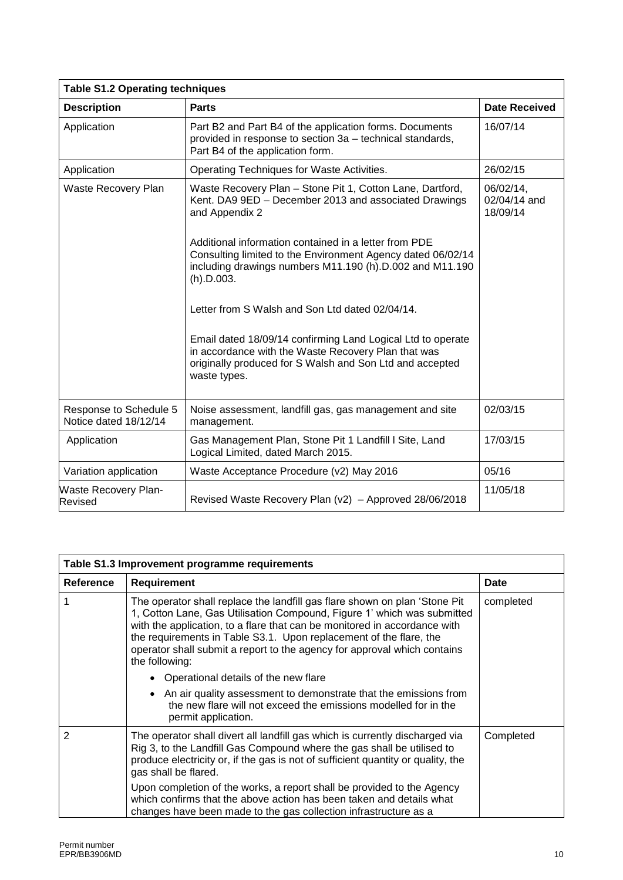| <b>Table S1.2 Operating techniques</b>          |                                                                                                                                                                                                |                                       |  |  |
|-------------------------------------------------|------------------------------------------------------------------------------------------------------------------------------------------------------------------------------------------------|---------------------------------------|--|--|
| <b>Description</b>                              | <b>Parts</b>                                                                                                                                                                                   | <b>Date Received</b>                  |  |  |
| Application                                     | Part B2 and Part B4 of the application forms. Documents<br>provided in response to section 3a - technical standards,<br>Part B4 of the application form.                                       | 16/07/14                              |  |  |
| Application                                     | Operating Techniques for Waste Activities.                                                                                                                                                     | 26/02/15                              |  |  |
| Waste Recovery Plan                             | Waste Recovery Plan - Stone Pit 1, Cotton Lane, Dartford,<br>Kent. DA9 9ED - December 2013 and associated Drawings<br>and Appendix 2                                                           | 06/02/14,<br>02/04/14 and<br>18/09/14 |  |  |
|                                                 | Additional information contained in a letter from PDE<br>Consulting limited to the Environment Agency dated 06/02/14<br>including drawings numbers M11.190 (h).D.002 and M11.190<br>(h).D.003. |                                       |  |  |
|                                                 | Letter from S Walsh and Son Ltd dated 02/04/14.                                                                                                                                                |                                       |  |  |
|                                                 | Email dated 18/09/14 confirming Land Logical Ltd to operate<br>in accordance with the Waste Recovery Plan that was<br>originally produced for S Walsh and Son Ltd and accepted<br>waste types. |                                       |  |  |
| Response to Schedule 5<br>Notice dated 18/12/14 | Noise assessment, landfill gas, gas management and site<br>management.                                                                                                                         | 02/03/15                              |  |  |
| Application                                     | Gas Management Plan, Stone Pit 1 Landfill I Site, Land<br>Logical Limited, dated March 2015.                                                                                                   | 17/03/15                              |  |  |
| Variation application                           | Waste Acceptance Procedure (v2) May 2016                                                                                                                                                       | 05/16                                 |  |  |
| <b>Waste Recovery Plan-</b><br><b>Revised</b>   | Revised Waste Recovery Plan (v2) - Approved 28/06/2018                                                                                                                                         | 11/05/18                              |  |  |

| Table S1.3 Improvement programme requirements |                                                                                                                                                                                                                                                                                                                                                                                                                                                                                                                                                                                                                  |           |  |
|-----------------------------------------------|------------------------------------------------------------------------------------------------------------------------------------------------------------------------------------------------------------------------------------------------------------------------------------------------------------------------------------------------------------------------------------------------------------------------------------------------------------------------------------------------------------------------------------------------------------------------------------------------------------------|-----------|--|
| <b>Reference</b>                              | <b>Requirement</b>                                                                                                                                                                                                                                                                                                                                                                                                                                                                                                                                                                                               | Date      |  |
|                                               | The operator shall replace the landfill gas flare shown on plan 'Stone Pit<br>1, Cotton Lane, Gas Utilisation Compound, Figure 1' which was submitted<br>with the application, to a flare that can be monitored in accordance with<br>the requirements in Table S3.1. Upon replacement of the flare, the<br>operator shall submit a report to the agency for approval which contains<br>the following:<br>• Operational details of the new flare<br>• An air quality assessment to demonstrate that the emissions from<br>the new flare will not exceed the emissions modelled for in the<br>permit application. | completed |  |
| 2                                             | The operator shall divert all landfill gas which is currently discharged via<br>Rig 3, to the Landfill Gas Compound where the gas shall be utilised to<br>produce electricity or, if the gas is not of sufficient quantity or quality, the<br>gas shall be flared.<br>Upon completion of the works, a report shall be provided to the Agency<br>which confirms that the above action has been taken and details what<br>changes have been made to the gas collection infrastructure as a                                                                                                                         | Completed |  |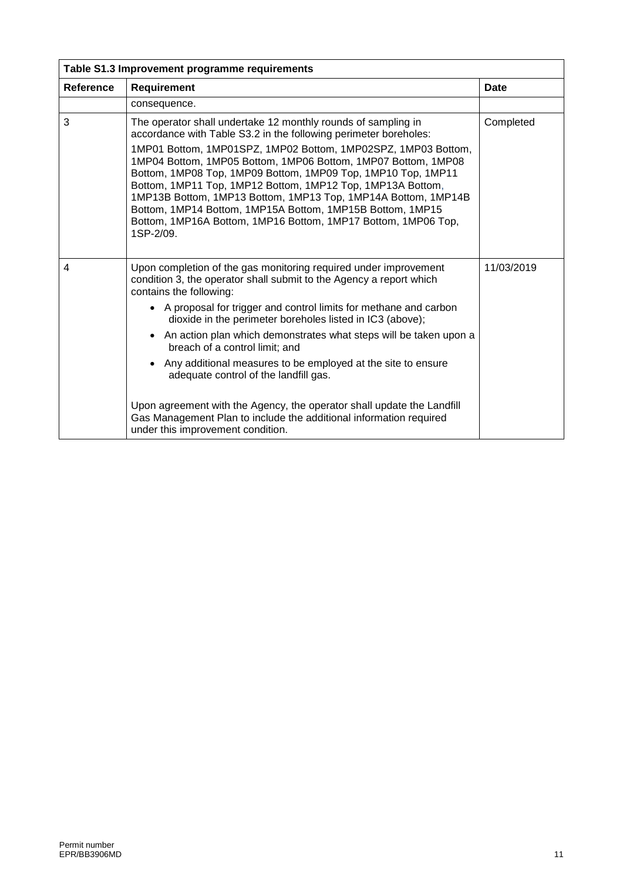| Table S1.3 Improvement programme requirements |                                                                                                                                                                                                                                                                                                                                                                                                                                                                                                                                                                                                                                                                                                              |             |  |  |
|-----------------------------------------------|--------------------------------------------------------------------------------------------------------------------------------------------------------------------------------------------------------------------------------------------------------------------------------------------------------------------------------------------------------------------------------------------------------------------------------------------------------------------------------------------------------------------------------------------------------------------------------------------------------------------------------------------------------------------------------------------------------------|-------------|--|--|
| <b>Reference</b>                              | <b>Requirement</b>                                                                                                                                                                                                                                                                                                                                                                                                                                                                                                                                                                                                                                                                                           | <b>Date</b> |  |  |
|                                               | consequence.                                                                                                                                                                                                                                                                                                                                                                                                                                                                                                                                                                                                                                                                                                 |             |  |  |
| 3                                             | The operator shall undertake 12 monthly rounds of sampling in<br>accordance with Table S3.2 in the following perimeter boreholes:<br>1MP01 Bottom, 1MP01SPZ, 1MP02 Bottom, 1MP02SPZ, 1MP03 Bottom,<br>1MP04 Bottom, 1MP05 Bottom, 1MP06 Bottom, 1MP07 Bottom, 1MP08<br>Bottom, 1MP08 Top, 1MP09 Bottom, 1MP09 Top, 1MP10 Top, 1MP11<br>Bottom, 1MP11 Top, 1MP12 Bottom, 1MP12 Top, 1MP13A Bottom,<br>1MP13B Bottom, 1MP13 Bottom, 1MP13 Top, 1MP14A Bottom, 1MP14B<br>Bottom, 1MP14 Bottom, 1MP15A Bottom, 1MP15B Bottom, 1MP15<br>Bottom, 1MP16A Bottom, 1MP16 Bottom, 1MP17 Bottom, 1MP06 Top,<br>1SP-2/09.                                                                                                | Completed   |  |  |
| 4                                             | Upon completion of the gas monitoring required under improvement<br>condition 3, the operator shall submit to the Agency a report which<br>contains the following:<br>• A proposal for trigger and control limits for methane and carbon<br>dioxide in the perimeter boreholes listed in IC3 (above);<br>An action plan which demonstrates what steps will be taken upon a<br>breach of a control limit; and<br>• Any additional measures to be employed at the site to ensure<br>adequate control of the landfill gas.<br>Upon agreement with the Agency, the operator shall update the Landfill<br>Gas Management Plan to include the additional information required<br>under this improvement condition. | 11/03/2019  |  |  |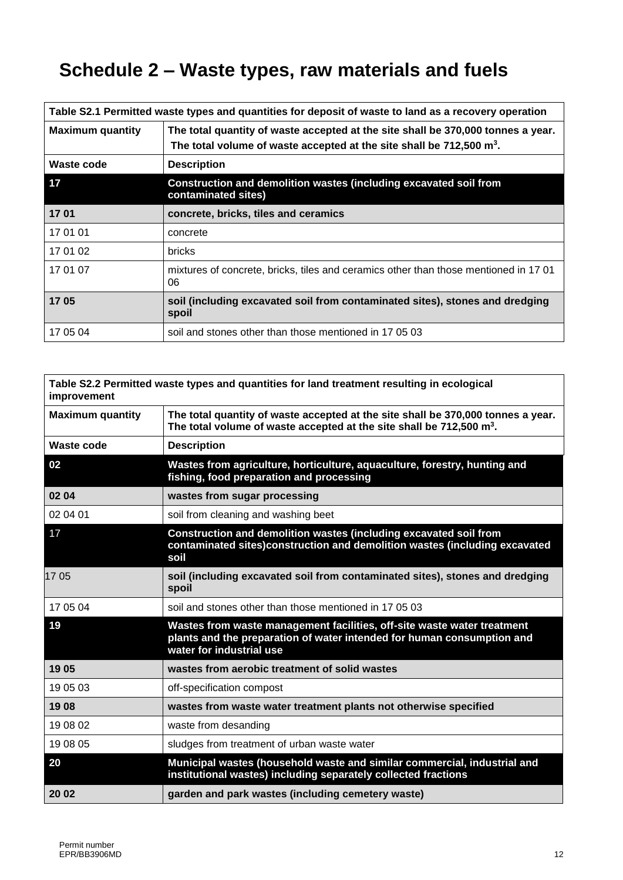## **Schedule 2 – Waste types, raw materials and fuels**

| Table S2.1 Permitted waste types and quantities for deposit of waste to land as a recovery operation |                                                                                                                                                                     |  |  |
|------------------------------------------------------------------------------------------------------|---------------------------------------------------------------------------------------------------------------------------------------------------------------------|--|--|
| <b>Maximum quantity</b>                                                                              | The total quantity of waste accepted at the site shall be 370,000 tonnes a year.<br>The total volume of waste accepted at the site shall be $712,500 \text{ m}^3$ . |  |  |
| Waste code                                                                                           | <b>Description</b>                                                                                                                                                  |  |  |
| 17                                                                                                   | Construction and demolition wastes (including excavated soil from<br>contaminated sites)                                                                            |  |  |
| 1701                                                                                                 | concrete, bricks, tiles and ceramics                                                                                                                                |  |  |
| 17 01 01                                                                                             | concrete                                                                                                                                                            |  |  |
| 17 01 02                                                                                             | <b>bricks</b>                                                                                                                                                       |  |  |
| 17 01 07                                                                                             | mixtures of concrete, bricks, tiles and ceramics other than those mentioned in 1701<br>06                                                                           |  |  |
| 1705                                                                                                 | soil (including excavated soil from contaminated sites), stones and dredging<br>spoil                                                                               |  |  |
| 17 05 04                                                                                             | soil and stones other than those mentioned in 17 05 03                                                                                                              |  |  |

| Table S2.2 Permitted waste types and quantities for land treatment resulting in ecological<br>improvement |                                                                                                                                                                               |  |  |
|-----------------------------------------------------------------------------------------------------------|-------------------------------------------------------------------------------------------------------------------------------------------------------------------------------|--|--|
| <b>Maximum quantity</b>                                                                                   | The total quantity of waste accepted at the site shall be 370,000 tonnes a year.<br>The total volume of waste accepted at the site shall be $712,500$ m <sup>3</sup> .        |  |  |
| Waste code                                                                                                | <b>Description</b>                                                                                                                                                            |  |  |
| 02                                                                                                        | Wastes from agriculture, horticulture, aquaculture, forestry, hunting and<br>fishing, food preparation and processing                                                         |  |  |
| 02 04                                                                                                     | wastes from sugar processing                                                                                                                                                  |  |  |
| 02 04 01                                                                                                  | soil from cleaning and washing beet                                                                                                                                           |  |  |
| 17                                                                                                        | Construction and demolition wastes (including excavated soil from<br>contaminated sites)construction and demolition wastes (including excavated<br>soil                       |  |  |
| 1705                                                                                                      | soil (including excavated soil from contaminated sites), stones and dredging<br>spoil                                                                                         |  |  |
| 17 05 04                                                                                                  | soil and stones other than those mentioned in 17 05 03                                                                                                                        |  |  |
| 19                                                                                                        | Wastes from waste management facilities, off-site waste water treatment<br>plants and the preparation of water intended for human consumption and<br>water for industrial use |  |  |
| 1905                                                                                                      | wastes from aerobic treatment of solid wastes                                                                                                                                 |  |  |
| 19 05 03                                                                                                  | off-specification compost                                                                                                                                                     |  |  |
| 1908                                                                                                      | wastes from waste water treatment plants not otherwise specified                                                                                                              |  |  |
| 19 08 02                                                                                                  | waste from desanding                                                                                                                                                          |  |  |
| 19 08 05                                                                                                  | sludges from treatment of urban waste water                                                                                                                                   |  |  |
| 20                                                                                                        | Municipal wastes (household waste and similar commercial, industrial and<br>institutional wastes) including separately collected fractions                                    |  |  |
| 20 02                                                                                                     | garden and park wastes (including cemetery waste)                                                                                                                             |  |  |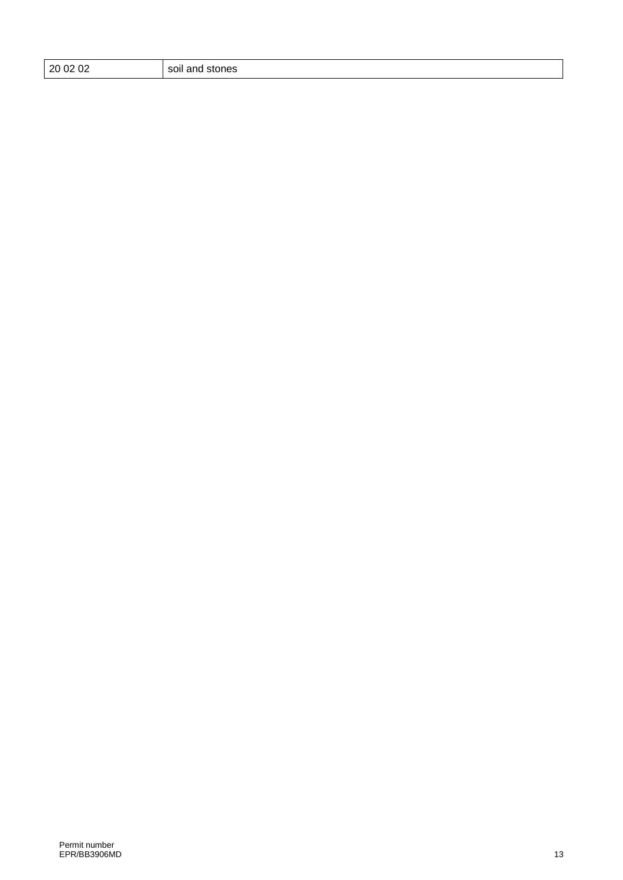| 0 02 02: |  |
|----------|--|
|          |  |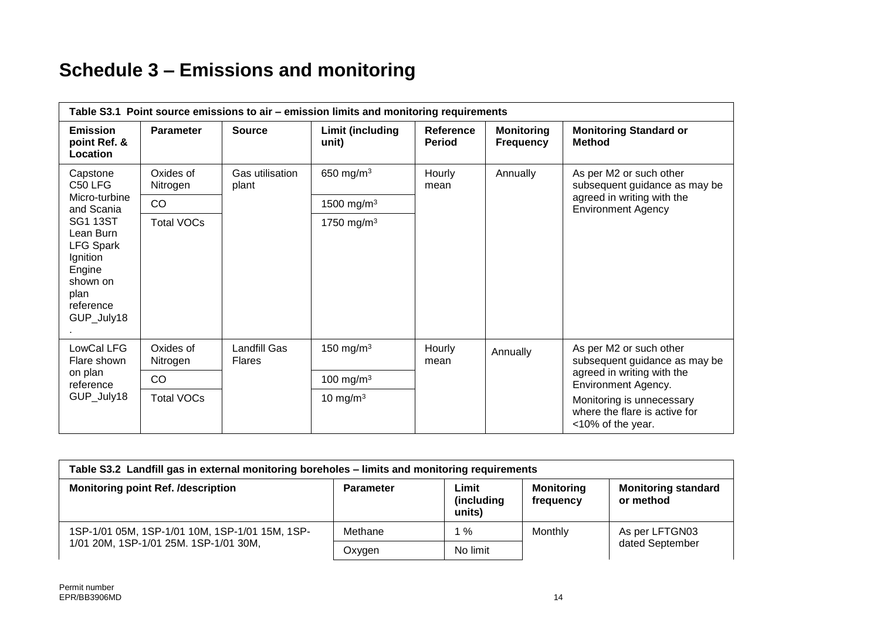## **Schedule 3 – Emissions and monitoring**

| Table S3.1 Point source emissions to air – emission limits and monitoring requirements                                |                       |                                      |                           |                            |                                       |                                                                                                                     |
|-----------------------------------------------------------------------------------------------------------------------|-----------------------|--------------------------------------|---------------------------|----------------------------|---------------------------------------|---------------------------------------------------------------------------------------------------------------------|
| <b>Emission</b><br>point Ref. &<br>Location                                                                           | <b>Parameter</b>      | <b>Source</b>                        | Limit (including<br>unit) | Reference<br><b>Period</b> | <b>Monitoring</b><br><b>Frequency</b> | <b>Monitoring Standard or</b><br><b>Method</b>                                                                      |
| Capstone<br>C50 LFG                                                                                                   | Oxides of<br>Nitrogen | Gas utilisation<br>plant             | 650 mg/m <sup>3</sup>     | Hourly<br>mean             | Annually                              | As per M2 or such other<br>subsequent guidance as may be<br>agreed in writing with the<br><b>Environment Agency</b> |
| Micro-turbine<br>and Scania                                                                                           | CO                    |                                      | 1500 mg/m <sup>3</sup>    |                            |                                       |                                                                                                                     |
| <b>SG1 13ST</b><br>Lean Burn<br><b>LFG Spark</b><br>Ignition<br>Engine<br>shown on<br>plan<br>reference<br>GUP_July18 | <b>Total VOCs</b>     |                                      | 1750 mg/m <sup>3</sup>    |                            |                                       |                                                                                                                     |
| LowCal LFG<br>Flare shown<br>on plan<br>reference<br>GUP_July18                                                       | Oxides of<br>Nitrogen | <b>Landfill Gas</b><br><b>Flares</b> | 150 mg/m $3$              | Hourly<br>mean             | Annually                              | As per M2 or such other<br>subsequent guidance as may be<br>agreed in writing with the<br>Environment Agency.       |
|                                                                                                                       | CO                    |                                      | 100 mg/m $3$              |                            |                                       |                                                                                                                     |
|                                                                                                                       | <b>Total VOCs</b>     |                                      | 10 mg/m $3$               |                            |                                       | Monitoring is unnecessary<br>where the flare is active for<br><10% of the year.                                     |

| Table S3.2 Landfill gas in external monitoring boreholes – limits and monitoring requirements |                  |                               |                                |                                         |
|-----------------------------------------------------------------------------------------------|------------------|-------------------------------|--------------------------------|-----------------------------------------|
| <b>Monitoring point Ref. /description</b>                                                     | <b>Parameter</b> | Limit<br>(including<br>units) | <b>Monitoring</b><br>frequency | <b>Monitoring standard</b><br>or method |
| 1SP-1/01 05M, 1SP-1/01 10M, 1SP-1/01 15M, 1SP-<br>1/01 20M, 1SP-1/01 25M. 1SP-1/01 30M,       | Methane          | %                             | Monthly                        | As per LFTGN03                          |
|                                                                                               | Oxygen           | No limit                      |                                | dated September                         |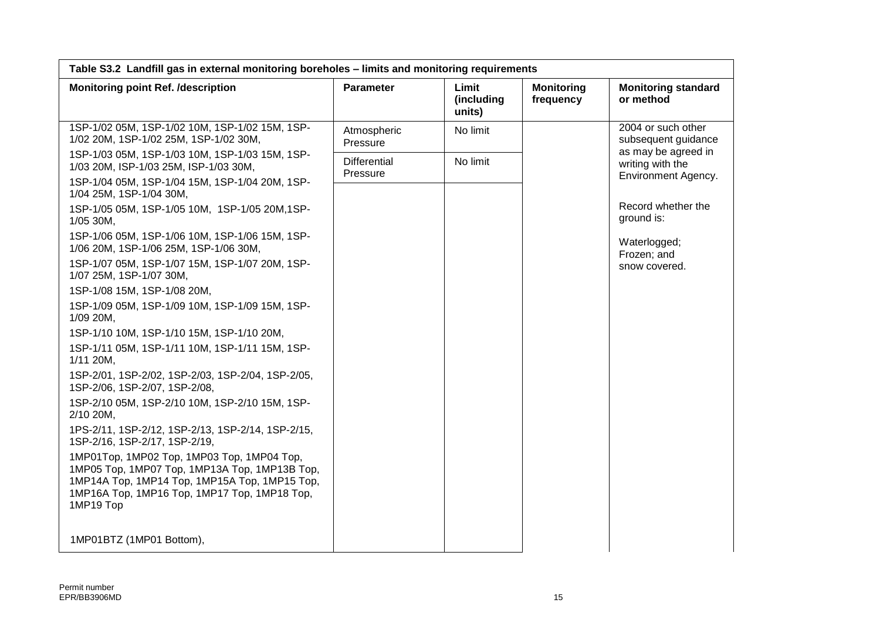| Table S3.2 Landfill gas in external monitoring boreholes - limits and monitoring requirements                                                                                                             |                                 |                               |                                |                                                                |
|-----------------------------------------------------------------------------------------------------------------------------------------------------------------------------------------------------------|---------------------------------|-------------------------------|--------------------------------|----------------------------------------------------------------|
| <b>Monitoring point Ref. /description</b>                                                                                                                                                                 | Parameter                       | Limit<br>(including<br>units) | <b>Monitoring</b><br>frequency | <b>Monitoring standard</b><br>or method                        |
| 1SP-1/02 05M, 1SP-1/02 10M, 1SP-1/02 15M, 1SP-<br>1/02 20M, 1SP-1/02 25M, 1SP-1/02 30M,                                                                                                                   | Atmospheric<br>Pressure         | No limit                      |                                | 2004 or such other<br>subsequent guidance                      |
| 1SP-1/03 05M, 1SP-1/03 10M, 1SP-1/03 15M, 1SP-<br>1/03 20M, ISP-1/03 25M, ISP-1/03 30M,                                                                                                                   | <b>Differential</b><br>Pressure | No limit                      |                                | as may be agreed in<br>writing with the<br>Environment Agency. |
| 1SP-1/04 05M, 1SP-1/04 15M, 1SP-1/04 20M, 1SP-<br>1/04 25M, 1SP-1/04 30M,                                                                                                                                 |                                 |                               |                                |                                                                |
| 1SP-1/05 05M, 1SP-1/05 10M, 1SP-1/05 20M, 1SP-<br>1/05 30M,                                                                                                                                               |                                 |                               |                                | Record whether the<br>ground is:                               |
| 1SP-1/06 05M, 1SP-1/06 10M, 1SP-1/06 15M, 1SP-<br>1/06 20M, 1SP-1/06 25M, 1SP-1/06 30M,                                                                                                                   |                                 |                               |                                | Waterlogged;<br>Frozen; and                                    |
| 1SP-1/07 05M, 1SP-1/07 15M, 1SP-1/07 20M, 1SP-<br>1/07 25M, 1SP-1/07 30M,                                                                                                                                 |                                 |                               |                                | snow covered.                                                  |
| 1SP-1/08 15M, 1SP-1/08 20M,                                                                                                                                                                               |                                 |                               |                                |                                                                |
| 1SP-1/09 05M, 1SP-1/09 10M, 1SP-1/09 15M, 1SP-<br>1/09 20M,                                                                                                                                               |                                 |                               |                                |                                                                |
| 1SP-1/10 10M, 1SP-1/10 15M, 1SP-1/10 20M,                                                                                                                                                                 |                                 |                               |                                |                                                                |
| 1SP-1/11 05M, 1SP-1/11 10M, 1SP-1/11 15M, 1SP-<br>$1/11$ 20M,                                                                                                                                             |                                 |                               |                                |                                                                |
| 1SP-2/01, 1SP-2/02, 1SP-2/03, 1SP-2/04, 1SP-2/05,<br>1SP-2/06, 1SP-2/07, 1SP-2/08,                                                                                                                        |                                 |                               |                                |                                                                |
| 1SP-2/10 05M, 1SP-2/10 10M, 1SP-2/10 15M, 1SP-<br>2/10 20M,                                                                                                                                               |                                 |                               |                                |                                                                |
| 1PS-2/11, 1SP-2/12, 1SP-2/13, 1SP-2/14, 1SP-2/15,<br>1SP-2/16, 1SP-2/17, 1SP-2/19,                                                                                                                        |                                 |                               |                                |                                                                |
| 1MP01Top, 1MP02 Top, 1MP03 Top, 1MP04 Top,<br>1MP05 Top, 1MP07 Top, 1MP13A Top, 1MP13B Top,<br>1MP14A Top, 1MP14 Top, 1MP15A Top, 1MP15 Top,<br>1MP16A Top, 1MP16 Top, 1MP17 Top, 1MP18 Top,<br>1MP19 Top |                                 |                               |                                |                                                                |
| 1MP01BTZ (1MP01 Bottom),                                                                                                                                                                                  |                                 |                               |                                |                                                                |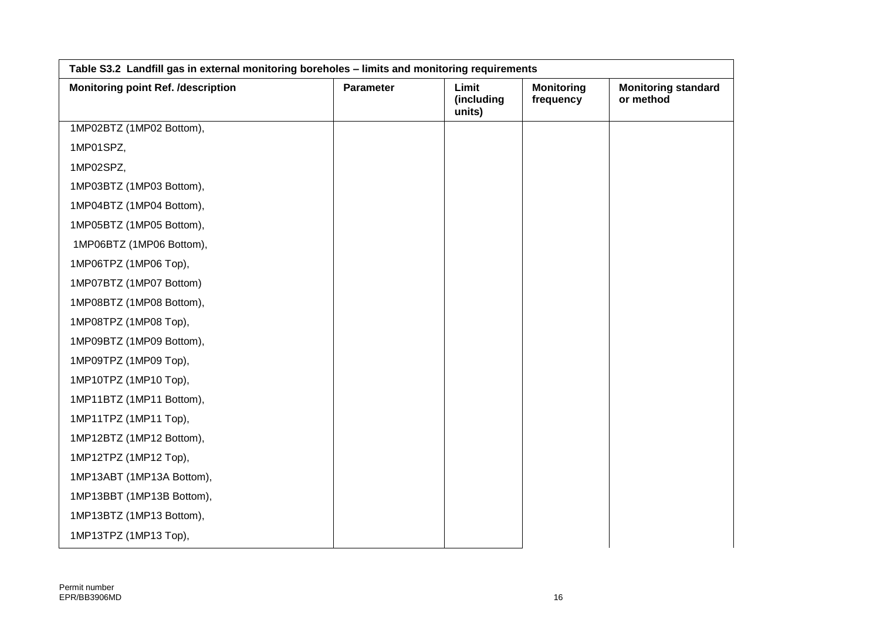| Table S3.2 Landfill gas in external monitoring boreholes - limits and monitoring requirements |           |                               |                                |                                         |
|-----------------------------------------------------------------------------------------------|-----------|-------------------------------|--------------------------------|-----------------------------------------|
| <b>Monitoring point Ref. /description</b>                                                     | Parameter | Limit<br>(including<br>units) | <b>Monitoring</b><br>frequency | <b>Monitoring standard</b><br>or method |
| 1MP02BTZ (1MP02 Bottom),                                                                      |           |                               |                                |                                         |
| 1MP01SPZ,                                                                                     |           |                               |                                |                                         |
| 1MP02SPZ,                                                                                     |           |                               |                                |                                         |
| 1MP03BTZ (1MP03 Bottom),                                                                      |           |                               |                                |                                         |
| 1MP04BTZ (1MP04 Bottom),                                                                      |           |                               |                                |                                         |
| 1MP05BTZ (1MP05 Bottom),                                                                      |           |                               |                                |                                         |
| 1MP06BTZ (1MP06 Bottom),                                                                      |           |                               |                                |                                         |
| 1MP06TPZ (1MP06 Top),                                                                         |           |                               |                                |                                         |
| 1MP07BTZ (1MP07 Bottom)                                                                       |           |                               |                                |                                         |
| 1MP08BTZ (1MP08 Bottom),                                                                      |           |                               |                                |                                         |
| 1MP08TPZ (1MP08 Top),                                                                         |           |                               |                                |                                         |
| 1MP09BTZ (1MP09 Bottom),                                                                      |           |                               |                                |                                         |
| 1MP09TPZ (1MP09 Top),                                                                         |           |                               |                                |                                         |
| 1MP10TPZ (1MP10 Top),                                                                         |           |                               |                                |                                         |
| 1MP11BTZ (1MP11 Bottom),                                                                      |           |                               |                                |                                         |
| 1MP11TPZ (1MP11 Top),                                                                         |           |                               |                                |                                         |
| 1MP12BTZ (1MP12 Bottom),                                                                      |           |                               |                                |                                         |
| 1MP12TPZ (1MP12 Top),                                                                         |           |                               |                                |                                         |
| 1MP13ABT (1MP13A Bottom),                                                                     |           |                               |                                |                                         |
| 1MP13BBT (1MP13B Bottom),                                                                     |           |                               |                                |                                         |
| 1MP13BTZ (1MP13 Bottom),                                                                      |           |                               |                                |                                         |
| 1MP13TPZ (1MP13 Top),                                                                         |           |                               |                                |                                         |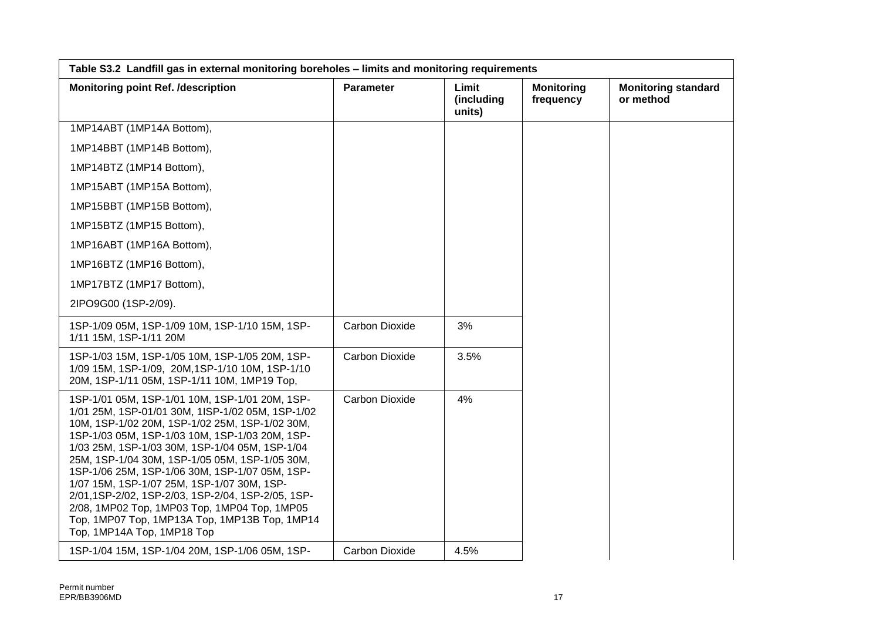| Table S3.2 Landfill gas in external monitoring boreholes - limits and monitoring requirements                                                                                                                                                                                                                                                                                                                                                                                                                                                                                                  |                       |                               |                                |                                         |
|------------------------------------------------------------------------------------------------------------------------------------------------------------------------------------------------------------------------------------------------------------------------------------------------------------------------------------------------------------------------------------------------------------------------------------------------------------------------------------------------------------------------------------------------------------------------------------------------|-----------------------|-------------------------------|--------------------------------|-----------------------------------------|
| <b>Monitoring point Ref. /description</b>                                                                                                                                                                                                                                                                                                                                                                                                                                                                                                                                                      | <b>Parameter</b>      | Limit<br>(including<br>units) | <b>Monitoring</b><br>frequency | <b>Monitoring standard</b><br>or method |
| 1MP14ABT (1MP14A Bottom),                                                                                                                                                                                                                                                                                                                                                                                                                                                                                                                                                                      |                       |                               |                                |                                         |
| 1MP14BBT (1MP14B Bottom),                                                                                                                                                                                                                                                                                                                                                                                                                                                                                                                                                                      |                       |                               |                                |                                         |
| 1MP14BTZ (1MP14 Bottom),                                                                                                                                                                                                                                                                                                                                                                                                                                                                                                                                                                       |                       |                               |                                |                                         |
| 1MP15ABT (1MP15A Bottom),                                                                                                                                                                                                                                                                                                                                                                                                                                                                                                                                                                      |                       |                               |                                |                                         |
| 1MP15BBT (1MP15B Bottom),                                                                                                                                                                                                                                                                                                                                                                                                                                                                                                                                                                      |                       |                               |                                |                                         |
| 1MP15BTZ (1MP15 Bottom),                                                                                                                                                                                                                                                                                                                                                                                                                                                                                                                                                                       |                       |                               |                                |                                         |
| 1MP16ABT (1MP16A Bottom),                                                                                                                                                                                                                                                                                                                                                                                                                                                                                                                                                                      |                       |                               |                                |                                         |
| 1MP16BTZ (1MP16 Bottom),                                                                                                                                                                                                                                                                                                                                                                                                                                                                                                                                                                       |                       |                               |                                |                                         |
| 1MP17BTZ (1MP17 Bottom),                                                                                                                                                                                                                                                                                                                                                                                                                                                                                                                                                                       |                       |                               |                                |                                         |
| 2IPO9G00 (1SP-2/09).                                                                                                                                                                                                                                                                                                                                                                                                                                                                                                                                                                           |                       |                               |                                |                                         |
| 1SP-1/09 05M, 1SP-1/09 10M, 1SP-1/10 15M, 1SP-<br>1/11 15M, 1SP-1/11 20M                                                                                                                                                                                                                                                                                                                                                                                                                                                                                                                       | Carbon Dioxide        | 3%                            |                                |                                         |
| 1SP-1/03 15M, 1SP-1/05 10M, 1SP-1/05 20M, 1SP-<br>1/09 15M, 1SP-1/09, 20M, 1SP-1/10 10M, 1SP-1/10<br>20M, 1SP-1/11 05M, 1SP-1/11 10M, 1MP19 Top,                                                                                                                                                                                                                                                                                                                                                                                                                                               | <b>Carbon Dioxide</b> | 3.5%                          |                                |                                         |
| 1SP-1/01 05M, 1SP-1/01 10M, 1SP-1/01 20M, 1SP-<br>1/01 25M, 1SP-01/01 30M, 1ISP-1/02 05M, 1SP-1/02<br>10M, 1SP-1/02 20M, 1SP-1/02 25M, 1SP-1/02 30M,<br>1SP-1/03 05M, 1SP-1/03 10M, 1SP-1/03 20M, 1SP-<br>1/03 25M, 1SP-1/03 30M, 1SP-1/04 05M, 1SP-1/04<br>25M, 1SP-1/04 30M, 1SP-1/05 05M, 1SP-1/05 30M,<br>1SP-1/06 25M, 1SP-1/06 30M, 1SP-1/07 05M, 1SP-<br>1/07 15M, 1SP-1/07 25M, 1SP-1/07 30M, 1SP-<br>2/01,1SP-2/02, 1SP-2/03, 1SP-2/04, 1SP-2/05, 1SP-<br>2/08, 1MP02 Top, 1MP03 Top, 1MP04 Top, 1MP05<br>Top, 1MP07 Top, 1MP13A Top, 1MP13B Top, 1MP14<br>Top, 1MP14A Top, 1MP18 Top | Carbon Dioxide        | 4%                            |                                |                                         |
| 1SP-1/04 15M, 1SP-1/04 20M, 1SP-1/06 05M, 1SP-                                                                                                                                                                                                                                                                                                                                                                                                                                                                                                                                                 | Carbon Dioxide        | 4.5%                          |                                |                                         |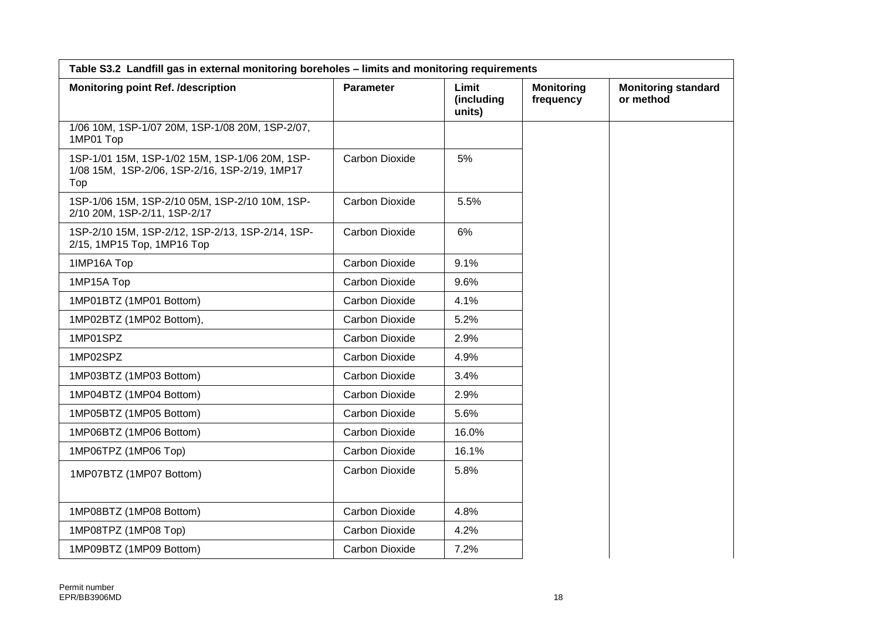| Table S3.2 Landfill gas in external monitoring boreholes - limits and monitoring requirements          |                       |                               |                                |                                         |
|--------------------------------------------------------------------------------------------------------|-----------------------|-------------------------------|--------------------------------|-----------------------------------------|
| <b>Monitoring point Ref. /description</b>                                                              | <b>Parameter</b>      | Limit<br>(including<br>units) | <b>Monitoring</b><br>frequency | <b>Monitoring standard</b><br>or method |
| 1/06 10M, 1SP-1/07 20M, 1SP-1/08 20M, 1SP-2/07,<br>1MP01 Top                                           |                       |                               |                                |                                         |
| 1SP-1/01 15M, 1SP-1/02 15M, 1SP-1/06 20M, 1SP-<br>1/08 15M, 1SP-2/06, 1SP-2/16, 1SP-2/19, 1MP17<br>Top | <b>Carbon Dioxide</b> | 5%                            |                                |                                         |
| 1SP-1/06 15M, 1SP-2/10 05M, 1SP-2/10 10M, 1SP-<br>2/10 20M, 1SP-2/11, 1SP-2/17                         | Carbon Dioxide        | 5.5%                          |                                |                                         |
| 1SP-2/10 15M, 1SP-2/12, 1SP-2/13, 1SP-2/14, 1SP-<br>2/15, 1MP15 Top, 1MP16 Top                         | <b>Carbon Dioxide</b> | 6%                            |                                |                                         |
| 1IMP16A Top                                                                                            | <b>Carbon Dioxide</b> | 9.1%                          |                                |                                         |
| 1MP15A Top                                                                                             | Carbon Dioxide        | 9.6%                          |                                |                                         |
| 1MP01BTZ (1MP01 Bottom)                                                                                | Carbon Dioxide        | 4.1%                          |                                |                                         |
| 1MP02BTZ (1MP02 Bottom),                                                                               | Carbon Dioxide        | 5.2%                          |                                |                                         |
| 1MP01SPZ                                                                                               | Carbon Dioxide        | 2.9%                          |                                |                                         |
| 1MP02SPZ                                                                                               | Carbon Dioxide        | 4.9%                          |                                |                                         |
| 1MP03BTZ (1MP03 Bottom)                                                                                | <b>Carbon Dioxide</b> | 3.4%                          |                                |                                         |
| 1MP04BTZ (1MP04 Bottom)                                                                                | Carbon Dioxide        | 2.9%                          |                                |                                         |
| 1MP05BTZ (1MP05 Bottom)                                                                                | Carbon Dioxide        | 5.6%                          |                                |                                         |
| 1MP06BTZ (1MP06 Bottom)                                                                                | Carbon Dioxide        | 16.0%                         |                                |                                         |
| 1MP06TPZ (1MP06 Top)                                                                                   | Carbon Dioxide        | 16.1%                         |                                |                                         |
| 1MP07BTZ (1MP07 Bottom)                                                                                | Carbon Dioxide        | 5.8%                          |                                |                                         |
| 1MP08BTZ (1MP08 Bottom)                                                                                | Carbon Dioxide        | 4.8%                          |                                |                                         |
| 1MP08TPZ (1MP08 Top)                                                                                   | <b>Carbon Dioxide</b> | 4.2%                          |                                |                                         |
| 1MP09BTZ (1MP09 Bottom)                                                                                | Carbon Dioxide        | 7.2%                          |                                |                                         |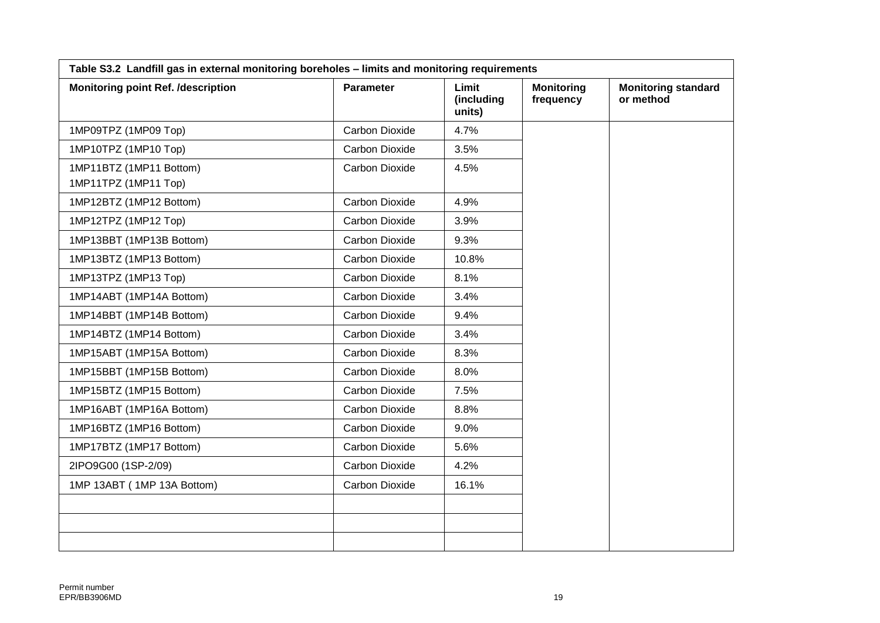| Table S3.2 Landfill gas in external monitoring boreholes - limits and monitoring requirements |                       |                               |                                |                                         |
|-----------------------------------------------------------------------------------------------|-----------------------|-------------------------------|--------------------------------|-----------------------------------------|
| <b>Monitoring point Ref. /description</b>                                                     | Parameter             | Limit<br>(including<br>units) | <b>Monitoring</b><br>frequency | <b>Monitoring standard</b><br>or method |
| 1MP09TPZ (1MP09 Top)                                                                          | Carbon Dioxide        | 4.7%                          |                                |                                         |
| 1MP10TPZ (1MP10 Top)                                                                          | Carbon Dioxide        | 3.5%                          |                                |                                         |
| 1MP11BTZ (1MP11 Bottom)<br>1MP11TPZ (1MP11 Top)                                               | Carbon Dioxide        | 4.5%                          |                                |                                         |
| 1MP12BTZ (1MP12 Bottom)                                                                       | <b>Carbon Dioxide</b> | 4.9%                          |                                |                                         |
| 1MP12TPZ (1MP12 Top)                                                                          | Carbon Dioxide        | 3.9%                          |                                |                                         |
| 1MP13BBT (1MP13B Bottom)                                                                      | Carbon Dioxide        | 9.3%                          |                                |                                         |
| 1MP13BTZ (1MP13 Bottom)                                                                       | Carbon Dioxide        | 10.8%                         |                                |                                         |
| 1MP13TPZ (1MP13 Top)                                                                          | Carbon Dioxide        | 8.1%                          |                                |                                         |
| 1MP14ABT (1MP14A Bottom)                                                                      | Carbon Dioxide        | 3.4%                          |                                |                                         |
| 1MP14BBT (1MP14B Bottom)                                                                      | Carbon Dioxide        | 9.4%                          |                                |                                         |
| 1MP14BTZ (1MP14 Bottom)                                                                       | Carbon Dioxide        | 3.4%                          |                                |                                         |
| 1MP15ABT (1MP15A Bottom)                                                                      | Carbon Dioxide        | 8.3%                          |                                |                                         |
| 1MP15BBT (1MP15B Bottom)                                                                      | Carbon Dioxide        | 8.0%                          |                                |                                         |
| 1MP15BTZ (1MP15 Bottom)                                                                       | Carbon Dioxide        | 7.5%                          |                                |                                         |
| 1MP16ABT (1MP16A Bottom)                                                                      | Carbon Dioxide        | 8.8%                          |                                |                                         |
| 1MP16BTZ (1MP16 Bottom)                                                                       | Carbon Dioxide        | 9.0%                          |                                |                                         |
| 1MP17BTZ (1MP17 Bottom)                                                                       | Carbon Dioxide        | 5.6%                          |                                |                                         |
| 2IPO9G00 (1SP-2/09)                                                                           | Carbon Dioxide        | 4.2%                          |                                |                                         |
| 1MP 13ABT (1MP 13A Bottom)                                                                    | Carbon Dioxide        | 16.1%                         |                                |                                         |
|                                                                                               |                       |                               |                                |                                         |
|                                                                                               |                       |                               |                                |                                         |
|                                                                                               |                       |                               |                                |                                         |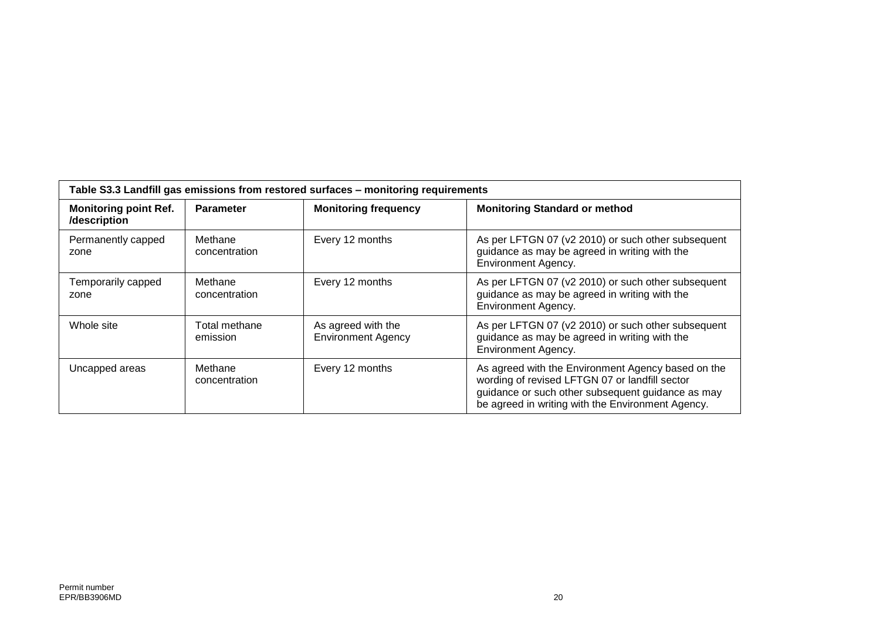| Table S3.3 Landfill gas emissions from restored surfaces - monitoring requirements |                           |                                                 |                                                                                                                                                                                                                |  |  |
|------------------------------------------------------------------------------------|---------------------------|-------------------------------------------------|----------------------------------------------------------------------------------------------------------------------------------------------------------------------------------------------------------------|--|--|
| <b>Monitoring point Ref.</b><br>/description                                       | <b>Parameter</b>          | <b>Monitoring frequency</b>                     | <b>Monitoring Standard or method</b>                                                                                                                                                                           |  |  |
| Permanently capped<br>zone                                                         | Methane<br>concentration  | Every 12 months                                 | As per LFTGN 07 (v2 2010) or such other subsequent<br>guidance as may be agreed in writing with the<br><b>Environment Agency.</b>                                                                              |  |  |
| Temporarily capped<br>zone                                                         | Methane<br>concentration  | Every 12 months                                 | As per LFTGN 07 (v2 2010) or such other subsequent<br>guidance as may be agreed in writing with the<br>Environment Agency.                                                                                     |  |  |
| Whole site                                                                         | Total methane<br>emission | As agreed with the<br><b>Environment Agency</b> | As per LFTGN 07 (v2 2010) or such other subsequent<br>guidance as may be agreed in writing with the<br><b>Environment Agency.</b>                                                                              |  |  |
| Uncapped areas                                                                     | Methane<br>concentration  | Every 12 months                                 | As agreed with the Environment Agency based on the<br>wording of revised LFTGN 07 or landfill sector<br>guidance or such other subsequent guidance as may<br>be agreed in writing with the Environment Agency. |  |  |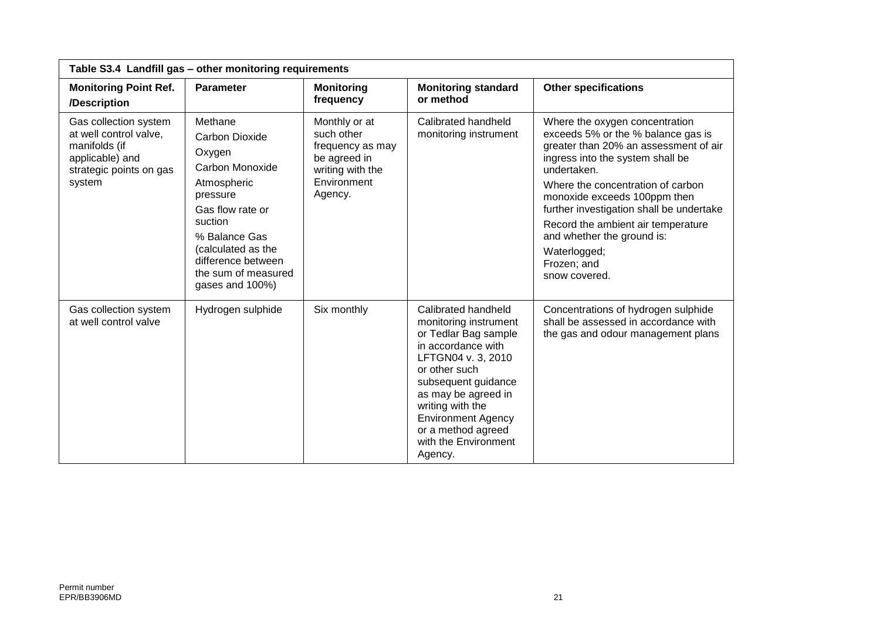| Table S3.4 Landfill gas - other monitoring requirements                                                                  |                                                                                                                                                                                                                                |                                                                                                               |                                                                                                                                                                                                                                                                                           |                                                                                                                                                                                                                                                                                                                                                                                                       |  |
|--------------------------------------------------------------------------------------------------------------------------|--------------------------------------------------------------------------------------------------------------------------------------------------------------------------------------------------------------------------------|---------------------------------------------------------------------------------------------------------------|-------------------------------------------------------------------------------------------------------------------------------------------------------------------------------------------------------------------------------------------------------------------------------------------|-------------------------------------------------------------------------------------------------------------------------------------------------------------------------------------------------------------------------------------------------------------------------------------------------------------------------------------------------------------------------------------------------------|--|
| <b>Monitoring Point Ref.</b><br>/Description                                                                             | <b>Parameter</b>                                                                                                                                                                                                               | <b>Monitoring</b><br>frequency                                                                                | <b>Monitoring standard</b><br>or method                                                                                                                                                                                                                                                   | <b>Other specifications</b>                                                                                                                                                                                                                                                                                                                                                                           |  |
| Gas collection system<br>at well control valve,<br>manifolds (if<br>applicable) and<br>strategic points on gas<br>system | Methane<br><b>Carbon Dioxide</b><br>Oxygen<br>Carbon Monoxide<br>Atmospheric<br>pressure<br>Gas flow rate or<br>suction<br>% Balance Gas<br>(calculated as the<br>difference between<br>the sum of measured<br>gases and 100%) | Monthly or at<br>such other<br>frequency as may<br>be agreed in<br>writing with the<br>Environment<br>Agency. | Calibrated handheld<br>monitoring instrument                                                                                                                                                                                                                                              | Where the oxygen concentration<br>exceeds 5% or the % balance gas is<br>greater than 20% an assessment of air<br>ingress into the system shall be<br>undertaken.<br>Where the concentration of carbon<br>monoxide exceeds 100ppm then<br>further investigation shall be undertake<br>Record the ambient air temperature<br>and whether the ground is:<br>Waterlogged;<br>Frozen; and<br>snow covered. |  |
| Gas collection system<br>at well control valve                                                                           | Hydrogen sulphide                                                                                                                                                                                                              | Six monthly                                                                                                   | Calibrated handheld<br>monitoring instrument<br>or Tedlar Bag sample<br>in accordance with<br>LFTGN04 v. 3, 2010<br>or other such<br>subsequent guidance<br>as may be agreed in<br>writing with the<br><b>Environment Agency</b><br>or a method agreed<br>with the Environment<br>Agency. | Concentrations of hydrogen sulphide<br>shall be assessed in accordance with<br>the gas and odour management plans                                                                                                                                                                                                                                                                                     |  |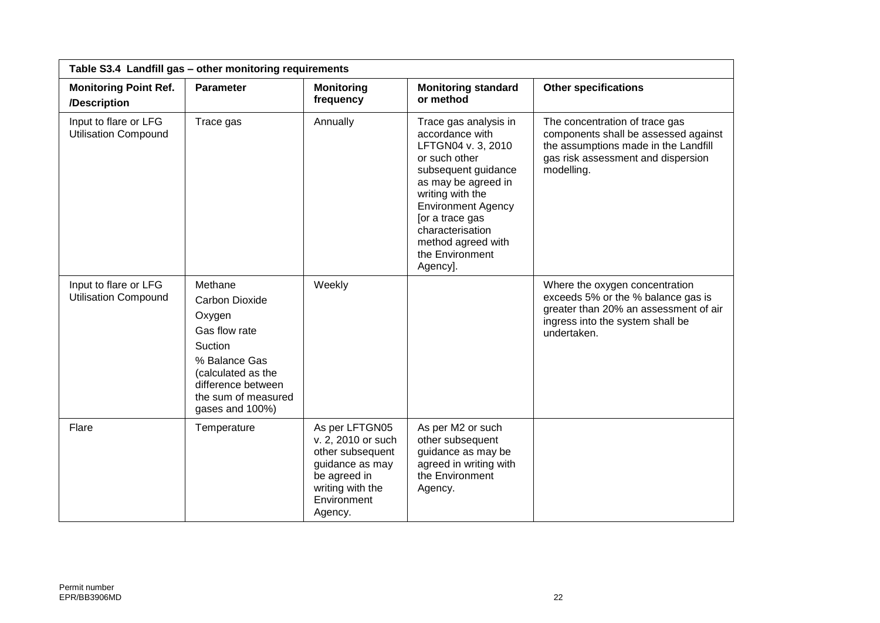| Table S3.4 Landfill gas - other monitoring requirements |                                                                                                                                                                               |                                                                                                                                           |                                                                                                                                                                                                                                                                            |                                                                                                                                                                    |  |
|---------------------------------------------------------|-------------------------------------------------------------------------------------------------------------------------------------------------------------------------------|-------------------------------------------------------------------------------------------------------------------------------------------|----------------------------------------------------------------------------------------------------------------------------------------------------------------------------------------------------------------------------------------------------------------------------|--------------------------------------------------------------------------------------------------------------------------------------------------------------------|--|
| <b>Monitoring Point Ref.</b><br>/Description            | <b>Parameter</b>                                                                                                                                                              | <b>Monitoring</b><br>frequency                                                                                                            | <b>Monitoring standard</b><br>or method                                                                                                                                                                                                                                    | <b>Other specifications</b>                                                                                                                                        |  |
| Input to flare or LFG<br><b>Utilisation Compound</b>    | Trace gas                                                                                                                                                                     | Annually                                                                                                                                  | Trace gas analysis in<br>accordance with<br>LFTGN04 v. 3, 2010<br>or such other<br>subsequent guidance<br>as may be agreed in<br>writing with the<br><b>Environment Agency</b><br>[or a trace gas<br>characterisation<br>method agreed with<br>the Environment<br>Agency]. | The concentration of trace gas<br>components shall be assessed against<br>the assumptions made in the Landfill<br>gas risk assessment and dispersion<br>modelling. |  |
| Input to flare or LFG<br><b>Utilisation Compound</b>    | Methane<br><b>Carbon Dioxide</b><br>Oxygen<br>Gas flow rate<br>Suction<br>% Balance Gas<br>(calculated as the<br>difference between<br>the sum of measured<br>gases and 100%) | Weekly                                                                                                                                    |                                                                                                                                                                                                                                                                            | Where the oxygen concentration<br>exceeds 5% or the % balance gas is<br>greater than 20% an assessment of air<br>ingress into the system shall be<br>undertaken.   |  |
| Flare                                                   | Temperature                                                                                                                                                                   | As per LFTGN05<br>v. 2, 2010 or such<br>other subsequent<br>guidance as may<br>be agreed in<br>writing with the<br>Environment<br>Agency. | As per M2 or such<br>other subsequent<br>guidance as may be<br>agreed in writing with<br>the Environment<br>Agency.                                                                                                                                                        |                                                                                                                                                                    |  |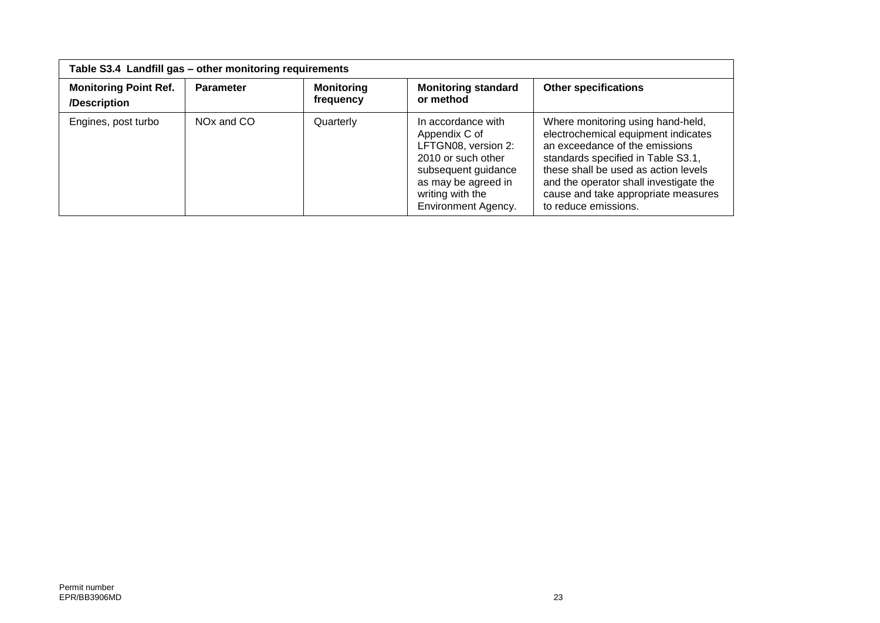| Table S3.4 Landfill gas - other monitoring requirements |                        |                                |                                                                                                                                                                                  |                                                                                                                                                                                                                                                                                                   |  |
|---------------------------------------------------------|------------------------|--------------------------------|----------------------------------------------------------------------------------------------------------------------------------------------------------------------------------|---------------------------------------------------------------------------------------------------------------------------------------------------------------------------------------------------------------------------------------------------------------------------------------------------|--|
| <b>Monitoring Point Ref.</b><br>/Description            | <b>Parameter</b>       | <b>Monitoring</b><br>frequency | <b>Monitoring standard</b><br>or method                                                                                                                                          | <b>Other specifications</b>                                                                                                                                                                                                                                                                       |  |
| Engines, post turbo                                     | NO <sub>x</sub> and CO | Quarterly                      | In accordance with<br>Appendix C of<br>LFTGN08, version 2:<br>2010 or such other<br>subsequent guidance<br>as may be agreed in<br>writing with the<br><b>Environment Agency.</b> | Where monitoring using hand-held,<br>electrochemical equipment indicates<br>an exceedance of the emissions<br>standards specified in Table S3.1,<br>these shall be used as action levels<br>and the operator shall investigate the<br>cause and take appropriate measures<br>to reduce emissions. |  |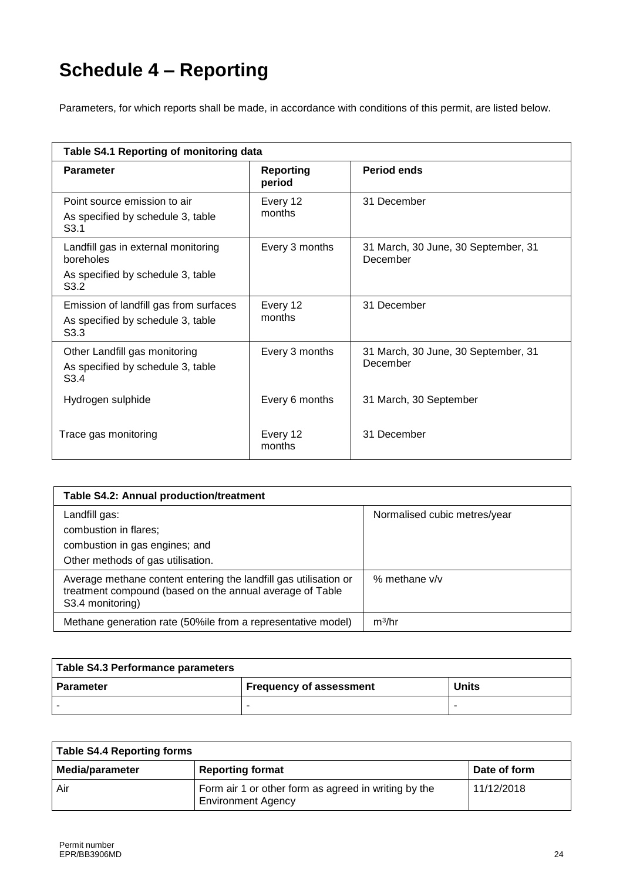## **Schedule 4 – Reporting**

Parameters, for which reports shall be made, in accordance with conditions of this permit, are listed below.

| Table S4.1 Reporting of monitoring data                                                         |                            |                                                 |  |  |  |
|-------------------------------------------------------------------------------------------------|----------------------------|-------------------------------------------------|--|--|--|
| <b>Parameter</b>                                                                                | <b>Reporting</b><br>period | <b>Period ends</b>                              |  |  |  |
| Point source emission to air<br>As specified by schedule 3, table<br>S <sub>3.1</sub>           | Every 12<br>months         | 31 December                                     |  |  |  |
| Landfill gas in external monitoring<br>boreholes<br>As specified by schedule 3, table<br>S3.2   | Every 3 months             | 31 March, 30 June, 30 September, 31<br>December |  |  |  |
| Emission of landfill gas from surfaces<br>As specified by schedule 3, table<br>S <sub>3.3</sub> | Every 12<br>months         | 31 December                                     |  |  |  |
| Other Landfill gas monitoring<br>As specified by schedule 3, table<br>S <sub>3.4</sub>          | Every 3 months             | 31 March, 30 June, 30 September, 31<br>December |  |  |  |
| Hydrogen sulphide                                                                               | Every 6 months             | 31 March, 30 September                          |  |  |  |
| Trace gas monitoring                                                                            | Every 12<br>months         | 31 December                                     |  |  |  |

| Table S4.2: Annual production/treatment                                                                                                          |                              |
|--------------------------------------------------------------------------------------------------------------------------------------------------|------------------------------|
| Landfill gas:<br>combustion in flares;<br>combustion in gas engines; and<br>Other methods of gas utilisation.                                    | Normalised cubic metres/year |
| Average methane content entering the landfill gas utilisation or<br>treatment compound (based on the annual average of Table<br>S3.4 monitoring) | % methane $v/v$              |
| Methane generation rate (50%ile from a representative model)                                                                                     | m <sup>3</sup> /hr           |

| Table S4.3 Performance parameters |                         |              |
|-----------------------------------|-------------------------|--------------|
| l Parameter                       | Frequency of assessment | <b>Units</b> |
|                                   |                         |              |

| <b>Table S4.4 Reporting forms</b> |                                                                                   |              |
|-----------------------------------|-----------------------------------------------------------------------------------|--------------|
| <b>Media/parameter</b>            | <b>Reporting format</b>                                                           | Date of form |
| Air                               | Form air 1 or other form as agreed in writing by the<br><b>Environment Agency</b> | 11/12/2018   |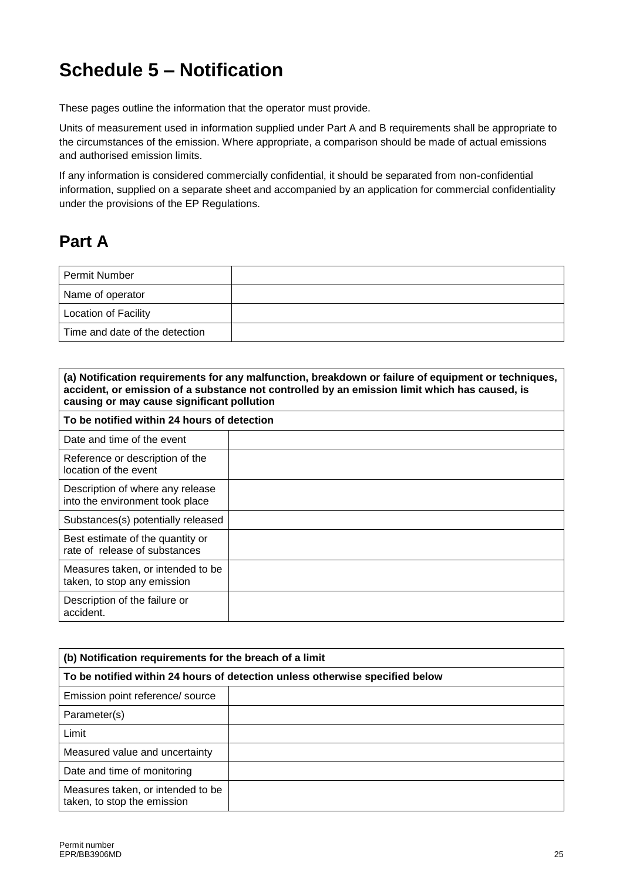## **Schedule 5 – Notification**

These pages outline the information that the operator must provide.

Units of measurement used in information supplied under Part A and B requirements shall be appropriate to the circumstances of the emission. Where appropriate, a comparison should be made of actual emissions and authorised emission limits.

If any information is considered commercially confidential, it should be separated from non-confidential information, supplied on a separate sheet and accompanied by an application for commercial confidentiality under the provisions of the EP Regulations.

### **Part A**

| Permit Number                  |  |
|--------------------------------|--|
| Name of operator               |  |
| Location of Facility           |  |
| Time and date of the detection |  |

| (a) Notification requirements for any malfunction, breakdown or failure of equipment or techniques,<br>accident, or emission of a substance not controlled by an emission limit which has caused, is<br>causing or may cause significant pollution |  |
|----------------------------------------------------------------------------------------------------------------------------------------------------------------------------------------------------------------------------------------------------|--|
| To be notified within 24 hours of detection                                                                                                                                                                                                        |  |
| Date and time of the event                                                                                                                                                                                                                         |  |
| Reference or description of the<br>location of the event                                                                                                                                                                                           |  |
| Description of where any release<br>into the environment took place                                                                                                                                                                                |  |
| Substances(s) potentially released                                                                                                                                                                                                                 |  |
| Best estimate of the quantity or<br>rate of release of substances                                                                                                                                                                                  |  |
| Measures taken, or intended to be<br>taken, to stop any emission                                                                                                                                                                                   |  |
| Description of the failure or<br>accident.                                                                                                                                                                                                         |  |

| (b) Notification requirements for the breach of a limit                      |  |  |
|------------------------------------------------------------------------------|--|--|
| To be notified within 24 hours of detection unless otherwise specified below |  |  |
| Emission point reference/ source                                             |  |  |
| Parameter(s)                                                                 |  |  |
| Limit                                                                        |  |  |
| Measured value and uncertainty                                               |  |  |
| Date and time of monitoring                                                  |  |  |
| Measures taken, or intended to be<br>taken, to stop the emission             |  |  |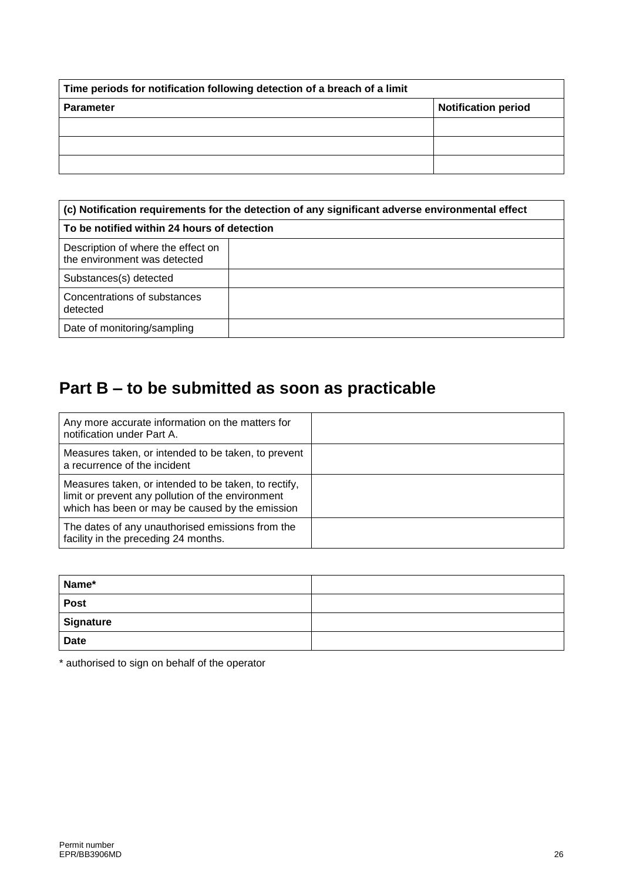| Time periods for notification following detection of a breach of a limit |                            |  |
|--------------------------------------------------------------------------|----------------------------|--|
| <b>Parameter</b>                                                         | <b>Notification period</b> |  |
|                                                                          |                            |  |
|                                                                          |                            |  |
|                                                                          |                            |  |

| (c) Notification requirements for the detection of any significant adverse environmental effect |  |
|-------------------------------------------------------------------------------------------------|--|
| To be notified within 24 hours of detection                                                     |  |
| Description of where the effect on<br>the environment was detected                              |  |
| Substances(s) detected                                                                          |  |
| Concentrations of substances<br>detected                                                        |  |
| Date of monitoring/sampling                                                                     |  |

## **Part B – to be submitted as soon as practicable**

| Any more accurate information on the matters for<br>notification under Part A.                                                                               |  |
|--------------------------------------------------------------------------------------------------------------------------------------------------------------|--|
| Measures taken, or intended to be taken, to prevent<br>a recurrence of the incident                                                                          |  |
| Measures taken, or intended to be taken, to rectify,<br>limit or prevent any pollution of the environment<br>which has been or may be caused by the emission |  |
| The dates of any unauthorised emissions from the<br>facility in the preceding 24 months.                                                                     |  |

| Name*       |  |
|-------------|--|
| <b>Post</b> |  |
| Signature   |  |
| <b>Date</b> |  |

\* authorised to sign on behalf of the operator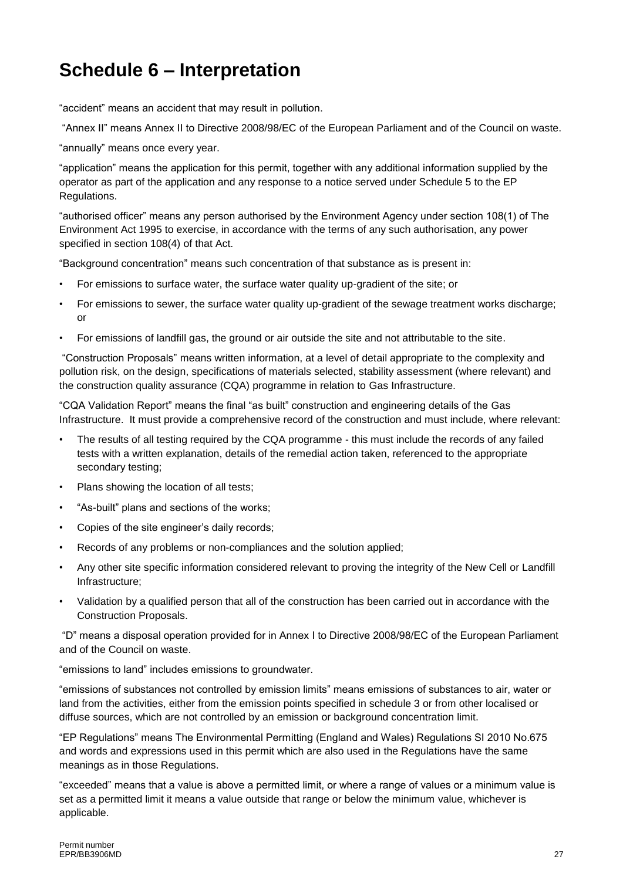## **Schedule 6 – Interpretation**

"accident" means an accident that may result in pollution.

"Annex II" means Annex II to Directive 2008/98/EC of the European Parliament and of the Council on waste.

"annually" means once every year.

"application" means the application for this permit, together with any additional information supplied by the operator as part of the application and any response to a notice served under Schedule 5 to the EP Regulations.

"authorised officer" means any person authorised by the Environment Agency under section 108(1) of The Environment Act 1995 to exercise, in accordance with the terms of any such authorisation, any power specified in section 108(4) of that Act.

"Background concentration" means such concentration of that substance as is present in:

- For emissions to surface water, the surface water quality up-gradient of the site; or
- For emissions to sewer, the surface water quality up-gradient of the sewage treatment works discharge; or
- For emissions of landfill gas, the ground or air outside the site and not attributable to the site.

"Construction Proposals" means written information, at a level of detail appropriate to the complexity and pollution risk, on the design, specifications of materials selected, stability assessment (where relevant) and the construction quality assurance (CQA) programme in relation to Gas Infrastructure.

"CQA Validation Report" means the final "as built" construction and engineering details of the Gas Infrastructure. It must provide a comprehensive record of the construction and must include, where relevant:

- The results of all testing required by the CQA programme this must include the records of any failed tests with a written explanation, details of the remedial action taken, referenced to the appropriate secondary testing;
- Plans showing the location of all tests;
- "As-built" plans and sections of the works;
- Copies of the site engineer's daily records;
- Records of any problems or non-compliances and the solution applied;
- Any other site specific information considered relevant to proving the integrity of the New Cell or Landfill Infrastructure;
- Validation by a qualified person that all of the construction has been carried out in accordance with the Construction Proposals.

"D" means a disposal operation provided for in Annex I to Directive 2008/98/EC of the European Parliament and of the Council on waste.

"emissions to land" includes emissions to groundwater.

"emissions of substances not controlled by emission limits" means emissions of substances to air, water or land from the activities, either from the emission points specified in schedule 3 or from other localised or diffuse sources, which are not controlled by an emission or background concentration limit.

"EP Regulations" means The Environmental Permitting (England and Wales) Regulations SI 2010 No.675 and words and expressions used in this permit which are also used in the Regulations have the same meanings as in those Regulations.

"exceeded" means that a value is above a permitted limit, or where a range of values or a minimum value is set as a permitted limit it means a value outside that range or below the minimum value, whichever is applicable.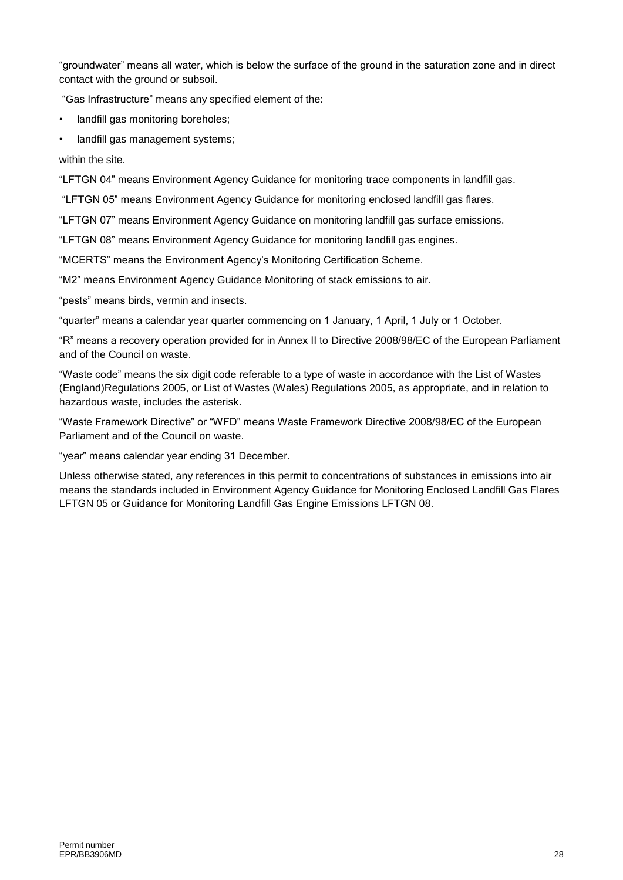"groundwater" means all water, which is below the surface of the ground in the saturation zone and in direct contact with the ground or subsoil.

"Gas Infrastructure" means any specified element of the:

• landfill gas monitoring boreholes;

• landfill gas management systems;

within the site.

"LFTGN 04" means Environment Agency Guidance for monitoring trace components in landfill gas.

"LFTGN 05" means Environment Agency Guidance for monitoring enclosed landfill gas flares.

"LFTGN 07" means Environment Agency Guidance on monitoring landfill gas surface emissions.

"LFTGN 08" means Environment Agency Guidance for monitoring landfill gas engines.

"MCERTS" means the Environment Agency's Monitoring Certification Scheme.

"M2" means Environment Agency Guidance Monitoring of stack emissions to air.

"pests" means birds, vermin and insects.

"quarter" means a calendar year quarter commencing on 1 January, 1 April, 1 July or 1 October.

"R" means a recovery operation provided for in Annex II to Directive 2008/98/EC of the European Parliament and of the Council on waste.

"Waste code" means the six digit code referable to a type of waste in accordance with the List of Wastes (England)Regulations 2005, or List of Wastes (Wales) Regulations 2005, as appropriate, and in relation to hazardous waste, includes the asterisk.

"Waste Framework Directive" or "WFD" means Waste Framework Directive 2008/98/EC of the European Parliament and of the Council on waste.

"year" means calendar year ending 31 December.

Unless otherwise stated, any references in this permit to concentrations of substances in emissions into air means the standards included in Environment Agency Guidance for Monitoring Enclosed Landfill Gas Flares LFTGN 05 or Guidance for Monitoring Landfill Gas Engine Emissions LFTGN 08.